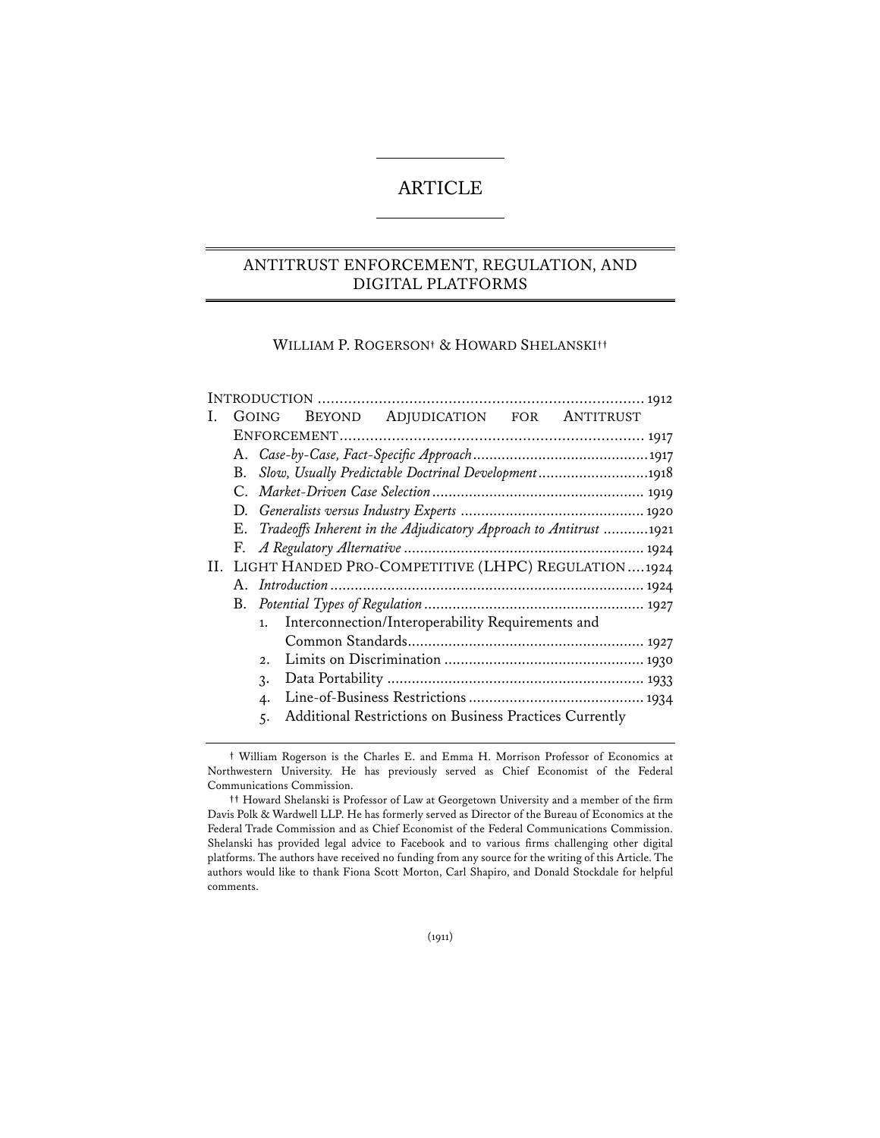# ARTICLE

# ANTITRUST ENFORCEMENT, REGULATION, AND DIGITAL PLATFORMS

#### WILLIAM P. ROGERSON**†** & HOWARD SHELANSKI**††**

|                                                           |                                                    | <b>GOING</b> |  | BEYOND ADJUDICATION FOR ANTITRUST                                 |  |  |  |
|-----------------------------------------------------------|----------------------------------------------------|--------------|--|-------------------------------------------------------------------|--|--|--|
|                                                           |                                                    |              |  |                                                                   |  |  |  |
|                                                           |                                                    |              |  |                                                                   |  |  |  |
| Slow, Usually Predictable Doctrinal Development1918<br>В. |                                                    |              |  |                                                                   |  |  |  |
|                                                           |                                                    |              |  |                                                                   |  |  |  |
|                                                           |                                                    |              |  |                                                                   |  |  |  |
|                                                           | Е.                                                 |              |  | Tradeoffs Inherent in the Adjudicatory Approach to Antitrust 1921 |  |  |  |
|                                                           |                                                    |              |  |                                                                   |  |  |  |
|                                                           | LIGHT HANDED PRO-COMPETITIVE (LHPC) REGULATION1924 |              |  |                                                                   |  |  |  |
|                                                           |                                                    |              |  |                                                                   |  |  |  |
|                                                           |                                                    |              |  |                                                                   |  |  |  |
|                                                           |                                                    | 1.           |  | Interconnection/Interoperability Requirements and                 |  |  |  |
|                                                           |                                                    |              |  |                                                                   |  |  |  |
|                                                           |                                                    | 2.1          |  |                                                                   |  |  |  |
|                                                           |                                                    | 3.           |  |                                                                   |  |  |  |
|                                                           |                                                    | 4.           |  |                                                                   |  |  |  |
|                                                           |                                                    | 5.           |  | Additional Restrictions on Business Practices Currently           |  |  |  |
|                                                           |                                                    |              |  |                                                                   |  |  |  |

**<sup>†</sup>** William Rogerson is the Charles E. and Emma H. Morrison Professor of Economics at Northwestern University. He has previously served as Chief Economist of the Federal Communications Commission.

**<sup>††</sup>** Howard Shelanski is Professor of Law at Georgetown University and a member of the firm Davis Polk & Wardwell LLP. He has formerly served as Director of the Bureau of Economics at the Federal Trade Commission and as Chief Economist of the Federal Communications Commission. Shelanski has provided legal advice to Facebook and to various firms challenging other digital platforms. The authors have received no funding from any source for the writing of this Article. The authors would like to thank Fiona Scott Morton, Carl Shapiro, and Donald Stockdale for helpful comments.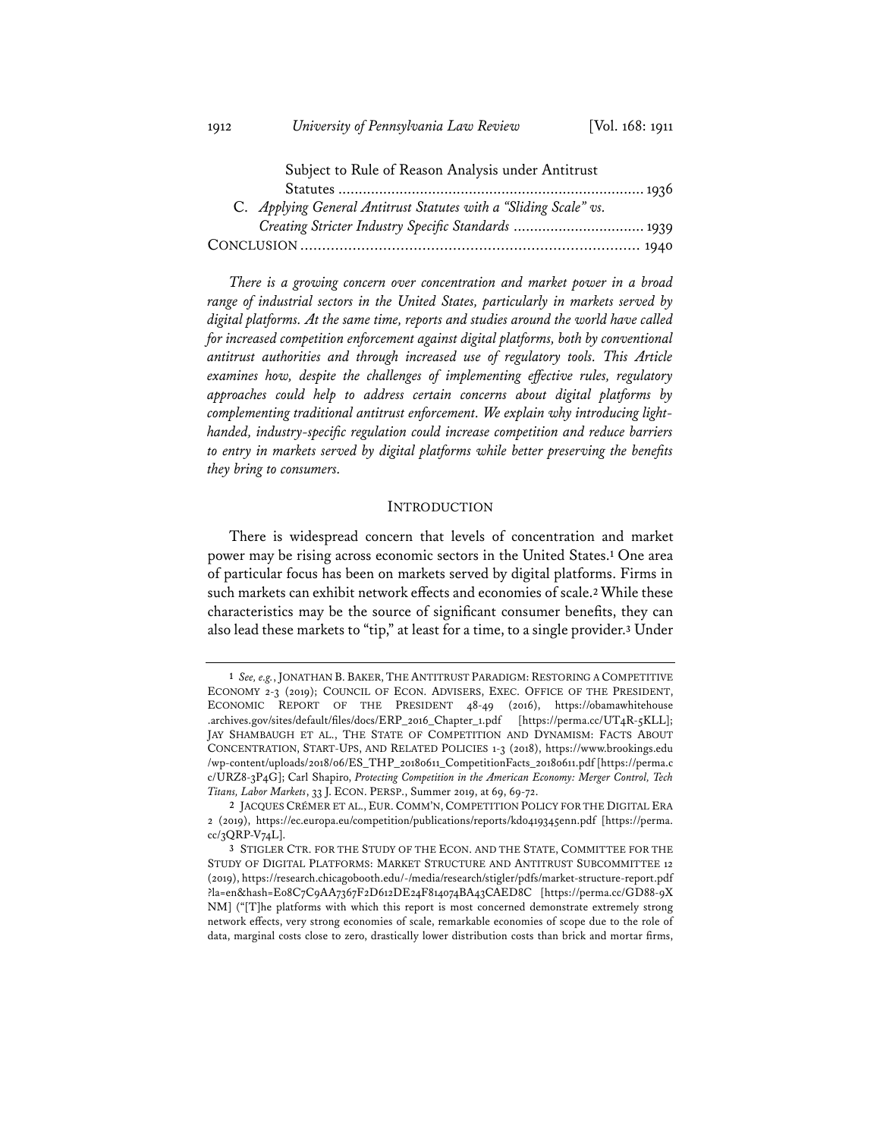| Subject to Rule of Reason Analysis under Antitrust                |  |
|-------------------------------------------------------------------|--|
|                                                                   |  |
| C. Applying General Antitrust Statutes with a "Sliding Scale" vs. |  |
| Creating Stricter Industry Specific Standards  1939               |  |
|                                                                   |  |

*There is a growing concern over concentration and market power in a broad range of industrial sectors in the United States, particularly in markets served by digital platforms. At the same time, reports and studies around the world have called for increased competition enforcement against digital platforms, both by conventional antitrust authorities and through increased use of regulatory tools. This Article examines how, despite the challenges of implementing effective rules, regulatory approaches could help to address certain concerns about digital platforms by complementing traditional antitrust enforcement. We explain why introducing lighthanded, industry-specific regulation could increase competition and reduce barriers to entry in markets served by digital platforms while better preserving the benefits they bring to consumers.*

#### **INTRODUCTION**

There is widespread concern that levels of concentration and market power may be rising across economic sectors in the United States.**<sup>1</sup>** One area of particular focus has been on markets served by digital platforms. Firms in such markets can exhibit network effects and economies of scale.**<sup>2</sup>** While these characteristics may be the source of significant consumer benefits, they can also lead these markets to "tip," at least for a time, to a single provider.**<sup>3</sup>** Under

**<sup>1</sup>** *See, e.g.*, JONATHAN B. BAKER, THE ANTITRUST PARADIGM: RESTORING A COMPETITIVE ECONOMY 2-3 (2019); COUNCIL OF ECON. ADVISERS, EXEC. OFFICE OF THE PRESIDENT, ECONOMIC REPORT OF THE PRESIDENT 48-49 (2016), https://obamawhitehouse .archives.gov/sites/default/files/docs/ERP\_2016\_Chapter\_1.pdf [https://perma.cc/UT4R-5KLL]; JAY SHAMBAUGH ET AL., THE STATE OF COMPETITION AND DYNAMISM: FACTS ABOUT CONCENTRATION, START-UPS, AND RELATED POLICIES 1-3 (2018), https://www.brookings.edu /wp-content/uploads/2018/06/ES\_THP\_20180611\_CompetitionFacts\_20180611.pdf [https://perma.c c/URZ8-3P4G]; Carl Shapiro, *Protecting Competition in the American Economy: Merger Control, Tech Titans, Labor Markets*, 33 J. ECON. PERSP., Summer 2019, at 69, 69-72.

**<sup>2</sup>** JACQUES CRÉMER ET AL., EUR. COMM'N, COMPETITION POLICY FOR THE DIGITAL ERA 2 (2019), https://ec.europa.eu/competition/publications/reports/kd0419345enn.pdf [https://perma. cc/3QRP-V74L].

**<sup>3</sup>** STIGLER CTR. FOR THE STUDY OF THE ECON. AND THE STATE, COMMITTEE FOR THE STUDY OF DIGITAL PLATFORMS: MARKET STRUCTURE AND ANTITRUST SUBCOMMITTEE 12 (2019), https://research.chicagobooth.edu/-/media/research/stigler/pdfs/market-structure-report.pdf ?la=en&hash=E08C7C9AA7367F2D612DE24F814074BA43CAED8C [https://perma.cc/GD88-9X NM] ("[T]he platforms with which this report is most concerned demonstrate extremely strong network effects, very strong economies of scale, remarkable economies of scope due to the role of data, marginal costs close to zero, drastically lower distribution costs than brick and mortar firms,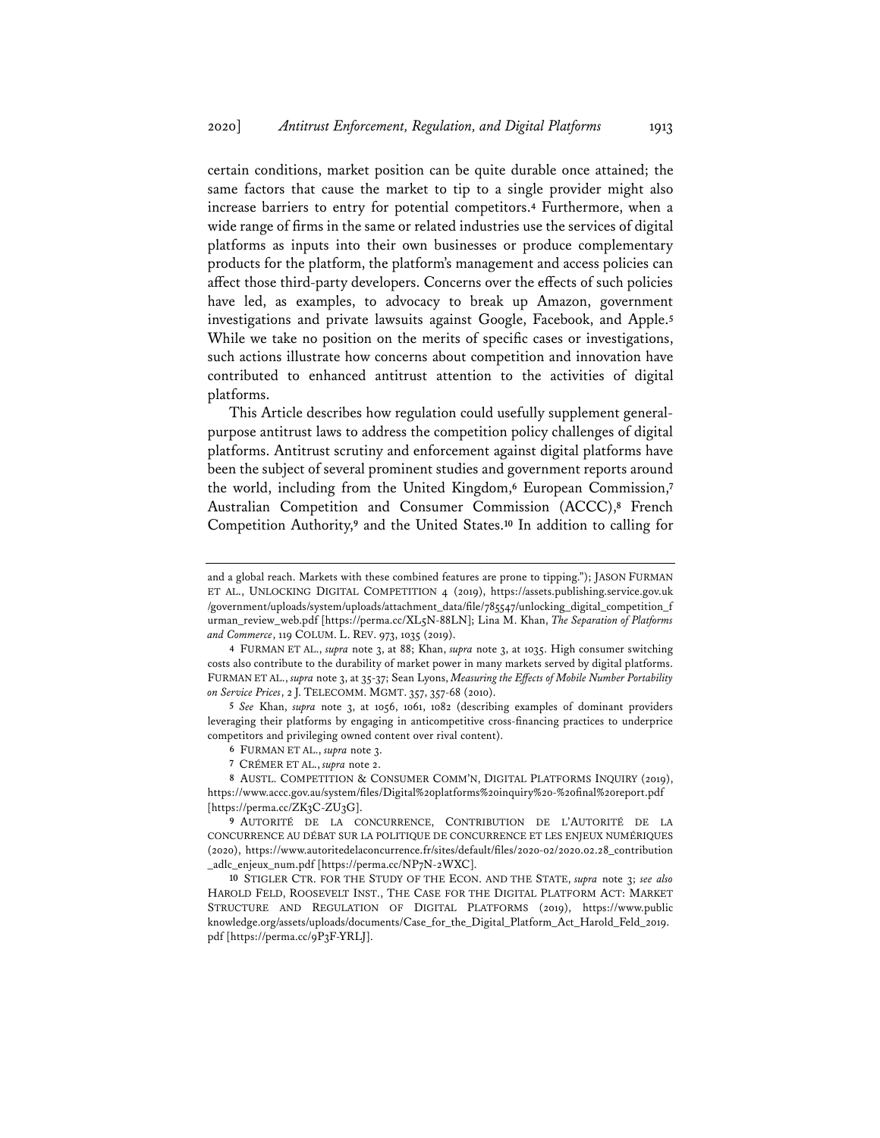certain conditions, market position can be quite durable once attained; the same factors that cause the market to tip to a single provider might also increase barriers to entry for potential competitors.**<sup>4</sup>** Furthermore, when a wide range of firms in the same or related industries use the services of digital platforms as inputs into their own businesses or produce complementary products for the platform, the platform's management and access policies can affect those third-party developers. Concerns over the effects of such policies have led, as examples, to advocacy to break up Amazon, government investigations and private lawsuits against Google, Facebook, and Apple.**<sup>5</sup>** While we take no position on the merits of specific cases or investigations, such actions illustrate how concerns about competition and innovation have contributed to enhanced antitrust attention to the activities of digital platforms.

This Article describes how regulation could usefully supplement generalpurpose antitrust laws to address the competition policy challenges of digital platforms. Antitrust scrutiny and enforcement against digital platforms have been the subject of several prominent studies and government reports around the world, including from the United Kingdom,**<sup>6</sup>** European Commission,**<sup>7</sup>** Australian Competition and Consumer Commission (ACCC),**<sup>8</sup>** French Competition Authority,**<sup>9</sup>** and the United States.**<sup>10</sup>** In addition to calling for

**5** *See* Khan, *supra* note 3, at 1056, 1061, 1082 (describing examples of dominant providers leveraging their platforms by engaging in anticompetitive cross-financing practices to underprice competitors and privileging owned content over rival content).

**6** FURMAN ET AL., *supra* note 3.

**7** CRÉMER ET AL., *supra* note 2.

**8** AUSTL. COMPETITION & CONSUMER COMM'N, DIGITAL PLATFORMS INQUIRY (2019), https://www.accc.gov.au/system/files/Digital%20platforms%20inquiry%20-%20final%20report.pdf [https://perma.cc/ZK3C-ZU3G].

and a global reach. Markets with these combined features are prone to tipping."); JASON FURMAN ET AL., UNLOCKING DIGITAL COMPETITION 4 (2019), https://assets.publishing.service.gov.uk /government/uploads/system/uploads/attachment\_data/file/785547/unlocking\_digital\_competition\_f urman\_review\_web.pdf [https://perma.cc/XL5N-88LN]; Lina M. Khan, *The Separation of Platforms and Commerce*, 119 COLUM. L. REV. 973, 1035 (2019).

**<sup>4</sup>** FURMAN ET AL., *supra* note 3, at 88; Khan, *supra* note 3, at 1035. High consumer switching costs also contribute to the durability of market power in many markets served by digital platforms. FURMAN ET AL., *supra* note 3, at 35-37; Sean Lyons, *Measuring the Effects of Mobile Number Portability on Service Prices*, 2 J. TELECOMM. MGMT. 357, 357-68 (2010).

**<sup>9</sup>** AUTORITÉ DE LA CONCURRENCE, CONTRIBUTION DE L'AUTORITÉ DE LA CONCURRENCE AU DÉBAT SUR LA POLITIQUE DE CONCURRENCE ET LES ENJEUX NUMÉRIQUES (2020), https://www.autoritedelaconcurrence.fr/sites/default/files/2020-02/2020.02.28\_contribution \_adlc\_enjeux\_num.pdf [https://perma.cc/NP7N-2WXC].

**<sup>10</sup>** STIGLER CTR. FOR THE STUDY OF THE ECON. AND THE STATE, *supra* note 3; *see also*  HAROLD FELD, ROOSEVELT INST., THE CASE FOR THE DIGITAL PLATFORM ACT: MARKET STRUCTURE AND REGULATION OF DIGITAL PLATFORMS (2019), https://www.public knowledge.org/assets/uploads/documents/Case\_for\_the\_Digital\_Platform\_Act\_Harold\_Feld\_2019. pdf [https://perma.cc/9P3F-YRLJ].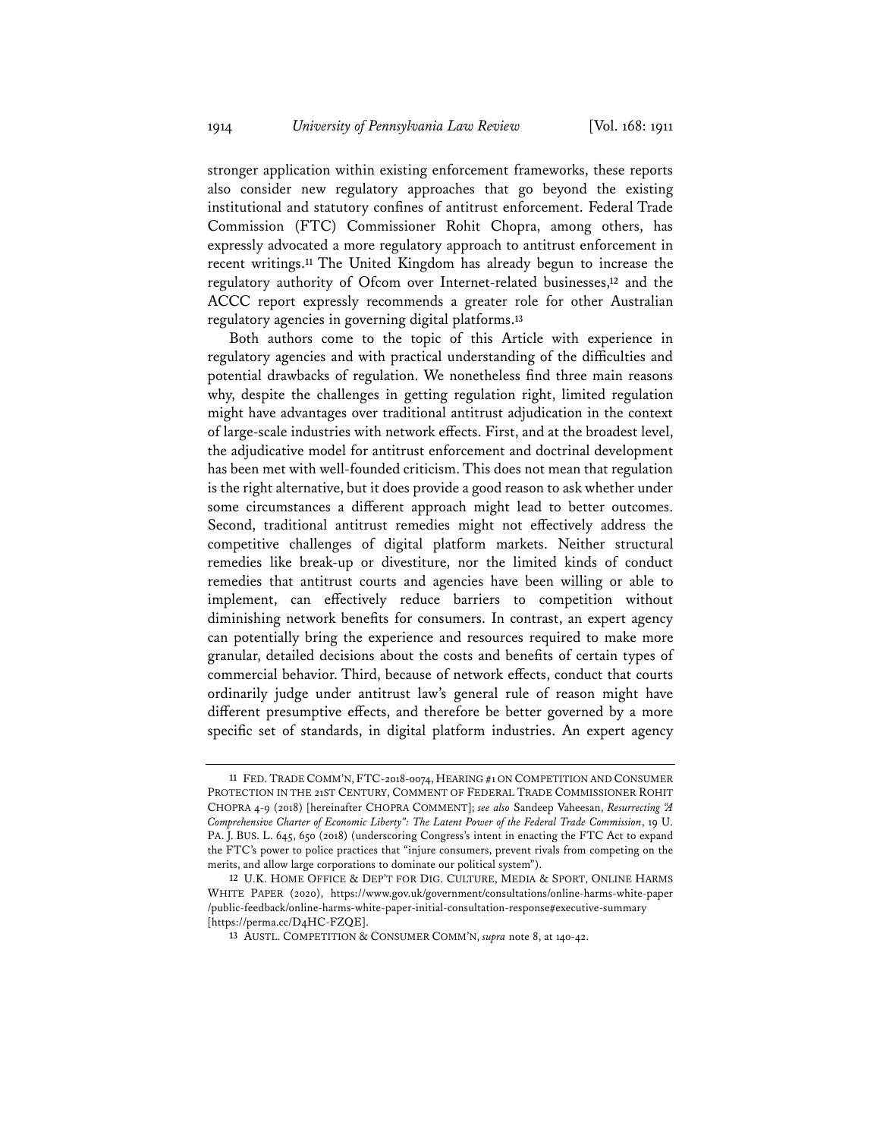stronger application within existing enforcement frameworks, these reports also consider new regulatory approaches that go beyond the existing institutional and statutory confines of antitrust enforcement. Federal Trade Commission (FTC) Commissioner Rohit Chopra, among others, has expressly advocated a more regulatory approach to antitrust enforcement in recent writings.**<sup>11</sup>** The United Kingdom has already begun to increase the regulatory authority of Ofcom over Internet-related businesses,**<sup>12</sup>** and the ACCC report expressly recommends a greater role for other Australian regulatory agencies in governing digital platforms.**<sup>13</sup>**

Both authors come to the topic of this Article with experience in regulatory agencies and with practical understanding of the difficulties and potential drawbacks of regulation. We nonetheless find three main reasons why, despite the challenges in getting regulation right, limited regulation might have advantages over traditional antitrust adjudication in the context of large-scale industries with network effects. First, and at the broadest level, the adjudicative model for antitrust enforcement and doctrinal development has been met with well-founded criticism. This does not mean that regulation is the right alternative, but it does provide a good reason to ask whether under some circumstances a different approach might lead to better outcomes. Second, traditional antitrust remedies might not effectively address the competitive challenges of digital platform markets. Neither structural remedies like break-up or divestiture, nor the limited kinds of conduct remedies that antitrust courts and agencies have been willing or able to implement, can effectively reduce barriers to competition without diminishing network benefits for consumers. In contrast, an expert agency can potentially bring the experience and resources required to make more granular, detailed decisions about the costs and benefits of certain types of commercial behavior. Third, because of network effects, conduct that courts ordinarily judge under antitrust law's general rule of reason might have different presumptive effects, and therefore be better governed by a more specific set of standards, in digital platform industries. An expert agency

**<sup>11</sup>** FED. TRADE COMM'N, FTC-2018-0074, HEARING #1 ON COMPETITION AND CONSUMER PROTECTION IN THE 21ST CENTURY, COMMENT OF FEDERAL TRADE COMMISSIONER ROHIT CHOPRA 4-9 (2018) [hereinafter CHOPRA COMMENT]; *see also* Sandeep Vaheesan, *Resurrecting "A Comprehensive Charter of Economic Liberty": The Latent Power of the Federal Trade Commission*, 19 U. PA. J. BUS. L. 645, 650 (2018) (underscoring Congress's intent in enacting the FTC Act to expand the FTC's power to police practices that "injure consumers, prevent rivals from competing on the merits, and allow large corporations to dominate our political system").

**<sup>12</sup>** U.K. HOME OFFICE & DEP'T FOR DIG. CULTURE, MEDIA & SPORT, ONLINE HARMS WHITE PAPER (2020), https://www.gov.uk/government/consultations/online-harms-white-paper  $\verb|public-feedback/online-harms-white-paper-inital-consulation-response \verb|#execute-seconds| and \verb|http://www.hem/}{tem/}$ [https://perma.cc/D4HC-FZQE].

**<sup>13</sup>** AUSTL. COMPETITION & CONSUMER COMM'N, *supra* note 8, at 140-42.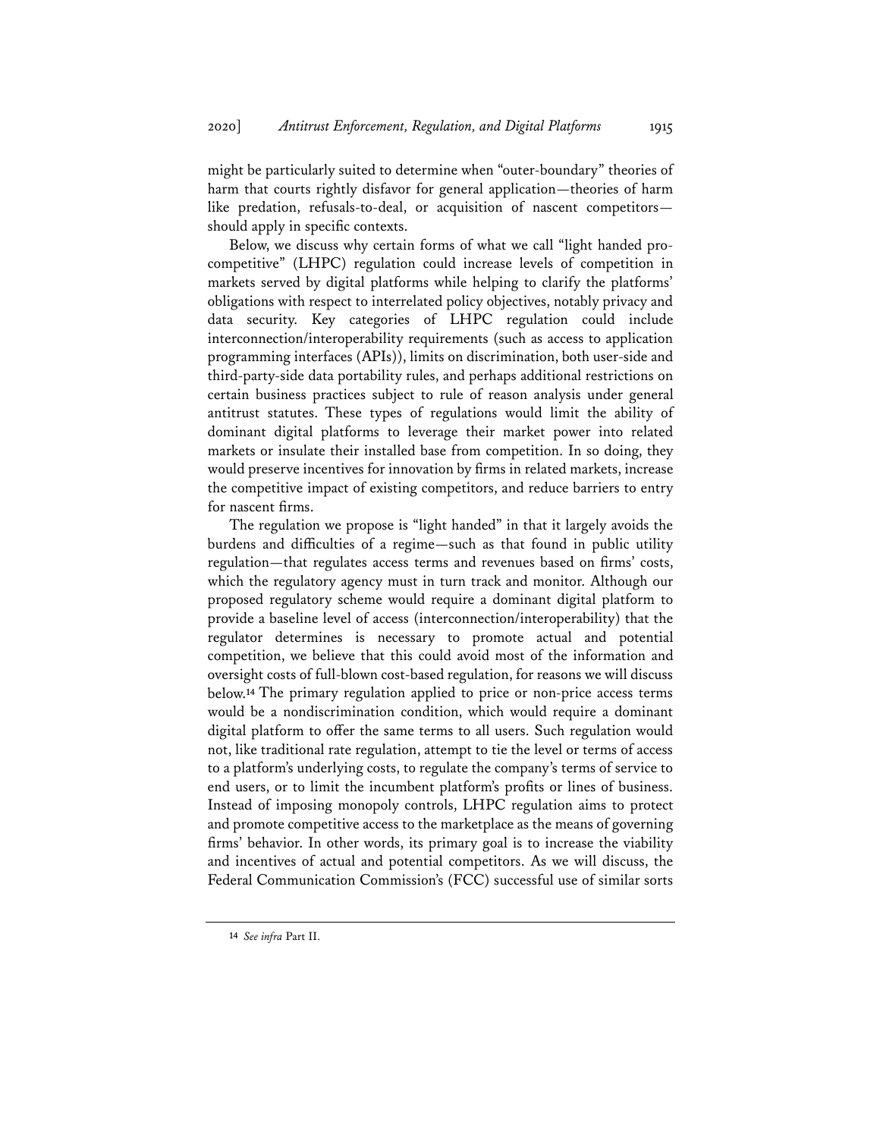might be particularly suited to determine when "outer-boundary" theories of harm that courts rightly disfavor for general application—theories of harm like predation, refusals-to-deal, or acquisition of nascent competitors should apply in specific contexts.

Below, we discuss why certain forms of what we call "light handed procompetitive" (LHPC) regulation could increase levels of competition in markets served by digital platforms while helping to clarify the platforms' obligations with respect to interrelated policy objectives, notably privacy and data security. Key categories of LHPC regulation could include interconnection/interoperability requirements (such as access to application programming interfaces (APIs)), limits on discrimination, both user-side and third-party-side data portability rules, and perhaps additional restrictions on certain business practices subject to rule of reason analysis under general antitrust statutes. These types of regulations would limit the ability of dominant digital platforms to leverage their market power into related markets or insulate their installed base from competition. In so doing, they would preserve incentives for innovation by firms in related markets, increase the competitive impact of existing competitors, and reduce barriers to entry for nascent firms.

The regulation we propose is "light handed" in that it largely avoids the burdens and difficulties of a regime—such as that found in public utility regulation—that regulates access terms and revenues based on firms' costs, which the regulatory agency must in turn track and monitor. Although our proposed regulatory scheme would require a dominant digital platform to provide a baseline level of access (interconnection/interoperability) that the regulator determines is necessary to promote actual and potential competition, we believe that this could avoid most of the information and oversight costs of full-blown cost-based regulation, for reasons we will discuss below.**<sup>14</sup>** The primary regulation applied to price or non-price access terms would be a nondiscrimination condition, which would require a dominant digital platform to offer the same terms to all users. Such regulation would not, like traditional rate regulation, attempt to tie the level or terms of access to a platform's underlying costs, to regulate the company's terms of service to end users, or to limit the incumbent platform's profits or lines of business. Instead of imposing monopoly controls, LHPC regulation aims to protect and promote competitive access to the marketplace as the means of governing firms' behavior. In other words, its primary goal is to increase the viability and incentives of actual and potential competitors. As we will discuss, the Federal Communication Commission's (FCC) successful use of similar sorts

**<sup>14</sup>** *See infra* Part II.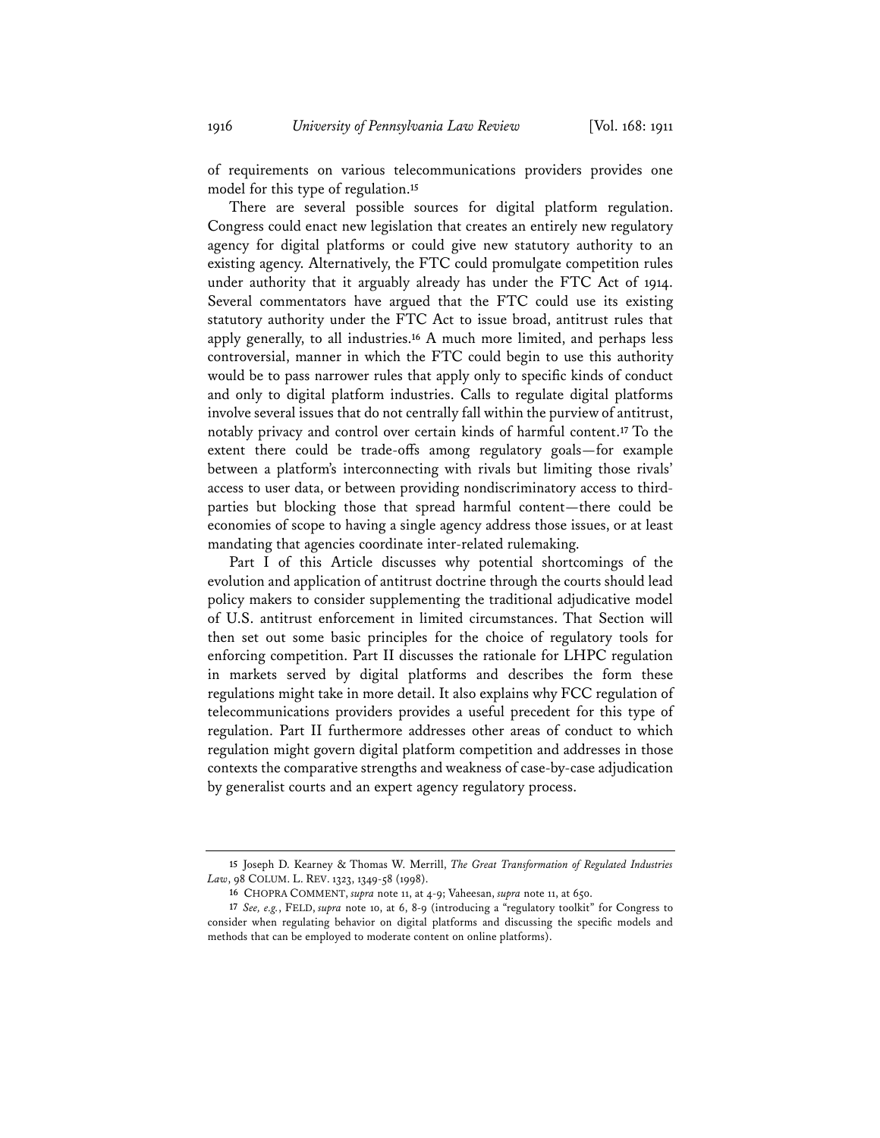of requirements on various telecommunications providers provides one model for this type of regulation.**<sup>15</sup>**

There are several possible sources for digital platform regulation. Congress could enact new legislation that creates an entirely new regulatory agency for digital platforms or could give new statutory authority to an existing agency. Alternatively, the FTC could promulgate competition rules under authority that it arguably already has under the FTC Act of 1914. Several commentators have argued that the FTC could use its existing statutory authority under the FTC Act to issue broad, antitrust rules that apply generally, to all industries.**<sup>16</sup>** A much more limited, and perhaps less controversial, manner in which the FTC could begin to use this authority would be to pass narrower rules that apply only to specific kinds of conduct and only to digital platform industries. Calls to regulate digital platforms involve several issues that do not centrally fall within the purview of antitrust, notably privacy and control over certain kinds of harmful content.**<sup>17</sup>** To the extent there could be trade-offs among regulatory goals—for example between a platform's interconnecting with rivals but limiting those rivals' access to user data, or between providing nondiscriminatory access to thirdparties but blocking those that spread harmful content—there could be economies of scope to having a single agency address those issues, or at least mandating that agencies coordinate inter-related rulemaking.

Part I of this Article discusses why potential shortcomings of the evolution and application of antitrust doctrine through the courts should lead policy makers to consider supplementing the traditional adjudicative model of U.S. antitrust enforcement in limited circumstances. That Section will then set out some basic principles for the choice of regulatory tools for enforcing competition. Part II discusses the rationale for LHPC regulation in markets served by digital platforms and describes the form these regulations might take in more detail. It also explains why FCC regulation of telecommunications providers provides a useful precedent for this type of regulation. Part II furthermore addresses other areas of conduct to which regulation might govern digital platform competition and addresses in those contexts the comparative strengths and weakness of case-by-case adjudication by generalist courts and an expert agency regulatory process.

**<sup>15</sup>** Joseph D. Kearney & Thomas W. Merrill, *The Great Transformation of Regulated Industries Law*, 98 COLUM. L. REV. 1323, 1349-58 (1998).

**<sup>16</sup>** CHOPRA COMMENT, *supra* note 11, at 4-9; Vaheesan, *supra* note 11, at 650.

**<sup>17</sup>** *See, e.g.*, FELD, *supra* note 10, at 6, 8-9 (introducing a "regulatory toolkit" for Congress to consider when regulating behavior on digital platforms and discussing the specific models and methods that can be employed to moderate content on online platforms).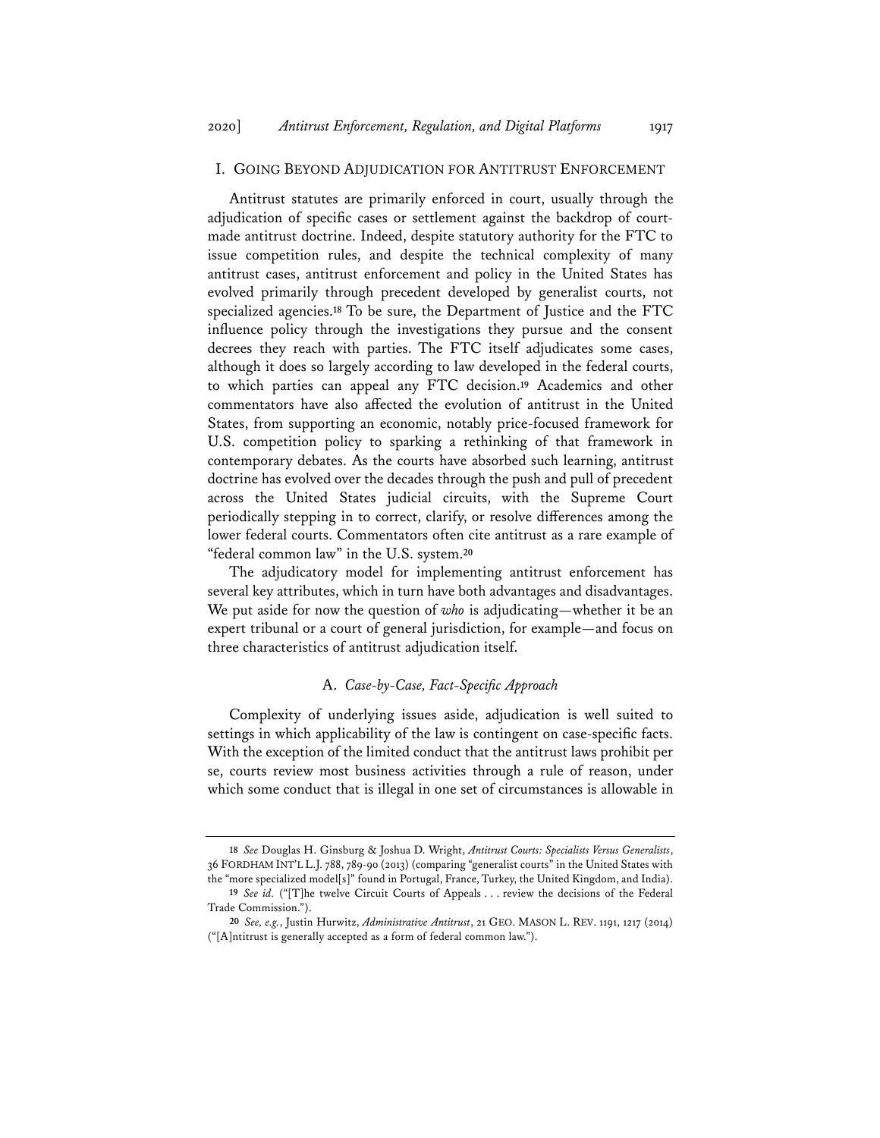#### I. GOING BEYOND ADJUDICATION FOR ANTITRUST ENFORCEMENT

Antitrust statutes are primarily enforced in court, usually through the adjudication of specific cases or settlement against the backdrop of courtmade antitrust doctrine. Indeed, despite statutory authority for the FTC to issue competition rules, and despite the technical complexity of many antitrust cases, antitrust enforcement and policy in the United States has evolved primarily through precedent developed by generalist courts, not specialized agencies.**<sup>18</sup>** To be sure, the Department of Justice and the FTC influence policy through the investigations they pursue and the consent decrees they reach with parties. The FTC itself adjudicates some cases, although it does so largely according to law developed in the federal courts, to which parties can appeal any FTC decision.**<sup>19</sup>** Academics and other commentators have also affected the evolution of antitrust in the United States, from supporting an economic, notably price-focused framework for U.S. competition policy to sparking a rethinking of that framework in contemporary debates. As the courts have absorbed such learning, antitrust doctrine has evolved over the decades through the push and pull of precedent across the United States judicial circuits, with the Supreme Court periodically stepping in to correct, clarify, or resolve differences among the lower federal courts. Commentators often cite antitrust as a rare example of "federal common law" in the U.S. system.**<sup>20</sup>**

The adjudicatory model for implementing antitrust enforcement has several key attributes, which in turn have both advantages and disadvantages. We put aside for now the question of *who* is adjudicating—whether it be an expert tribunal or a court of general jurisdiction, for example—and focus on three characteristics of antitrust adjudication itself.

#### A. *Case-by-Case, Fact-Specific Approach*

Complexity of underlying issues aside, adjudication is well suited to settings in which applicability of the law is contingent on case-specific facts. With the exception of the limited conduct that the antitrust laws prohibit per se, courts review most business activities through a rule of reason, under which some conduct that is illegal in one set of circumstances is allowable in

**<sup>18</sup>** *See* Douglas H. Ginsburg & Joshua D. Wright, *Antitrust Courts: Specialists Versus Generalists*, 36 FORDHAM INT'L L.J. 788, 789-90 (2013) (comparing "generalist courts" in the United States with the "more specialized model[s]" found in Portugal, France, Turkey, the United Kingdom, and India).

**<sup>19</sup>** *See id.* ("[T]he twelve Circuit Courts of Appeals . . . review the decisions of the Federal Trade Commission.").

**<sup>20</sup>** *See, e.g.*, Justin Hurwitz, *Administrative Antitrust*, 21 GEO. MASON L. REV. 1191, 1217 (2014) ("[A]ntitrust is generally accepted as a form of federal common law.").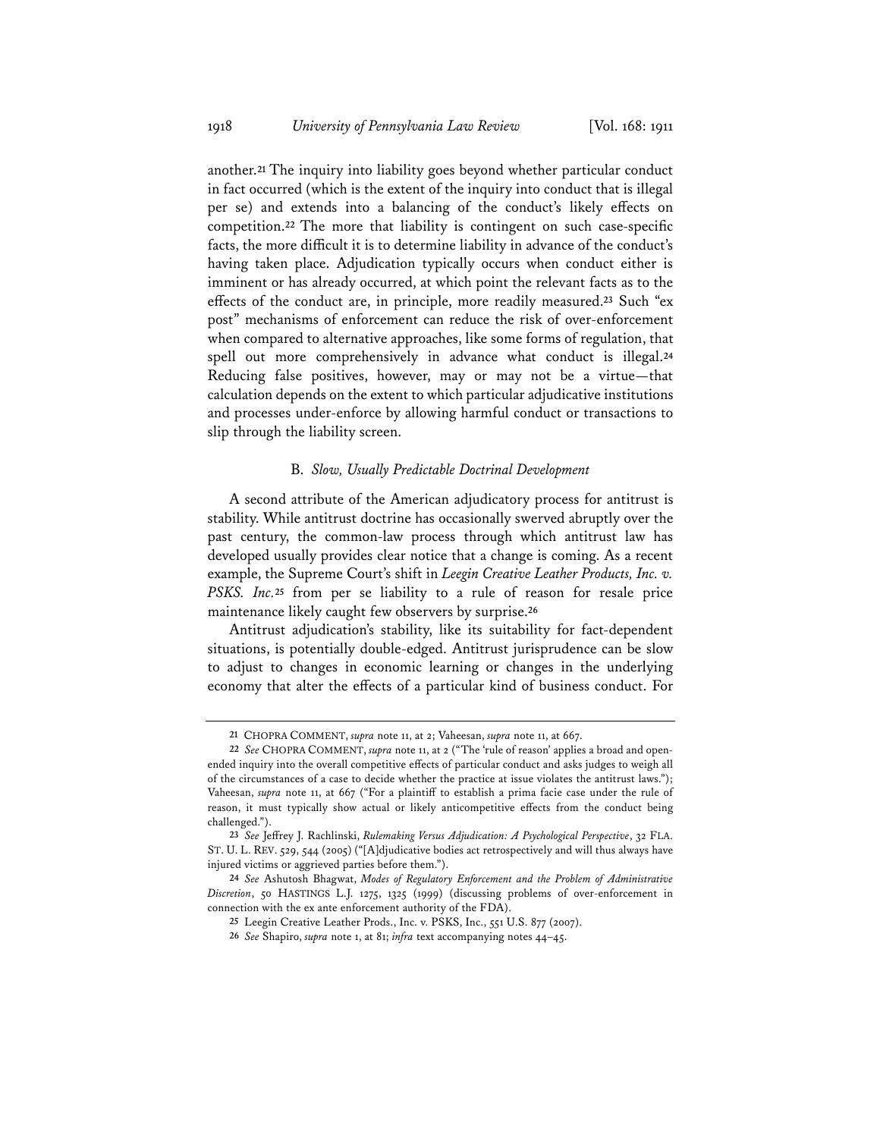another.**<sup>21</sup>** The inquiry into liability goes beyond whether particular conduct in fact occurred (which is the extent of the inquiry into conduct that is illegal per se) and extends into a balancing of the conduct's likely effects on competition.**<sup>22</sup>** The more that liability is contingent on such case-specific facts, the more difficult it is to determine liability in advance of the conduct's having taken place. Adjudication typically occurs when conduct either is imminent or has already occurred, at which point the relevant facts as to the effects of the conduct are, in principle, more readily measured.**<sup>23</sup>** Such "ex post" mechanisms of enforcement can reduce the risk of over-enforcement when compared to alternative approaches, like some forms of regulation, that spell out more comprehensively in advance what conduct is illegal.**<sup>24</sup>** Reducing false positives, however, may or may not be a virtue—that calculation depends on the extent to which particular adjudicative institutions and processes under-enforce by allowing harmful conduct or transactions to slip through the liability screen.

#### B. *Slow, Usually Predictable Doctrinal Development*

A second attribute of the American adjudicatory process for antitrust is stability. While antitrust doctrine has occasionally swerved abruptly over the past century, the common-law process through which antitrust law has developed usually provides clear notice that a change is coming. As a recent example, the Supreme Court's shift in *Leegin Creative Leather Products, Inc. v. PSKS. Inc.***<sup>25</sup>** from per se liability to a rule of reason for resale price maintenance likely caught few observers by surprise.**<sup>26</sup>**

Antitrust adjudication's stability, like its suitability for fact-dependent situations, is potentially double-edged. Antitrust jurisprudence can be slow to adjust to changes in economic learning or changes in the underlying economy that alter the effects of a particular kind of business conduct. For

**<sup>21</sup>** CHOPRA COMMENT, *supra* note 11, at 2; Vaheesan, *supra* note 11, at 667.

**<sup>22</sup>** *See* CHOPRA COMMENT, *supra* note 11, at 2 ("The 'rule of reason' applies a broad and openended inquiry into the overall competitive effects of particular conduct and asks judges to weigh all of the circumstances of a case to decide whether the practice at issue violates the antitrust laws."); Vaheesan, *supra* note 11, at 667 ("For a plaintiff to establish a prima facie case under the rule of reason, it must typically show actual or likely anticompetitive effects from the conduct being challenged.").

**<sup>23</sup>** *See* Jeffrey J. Rachlinski, *Rulemaking Versus Adjudication: A Psychological Perspective*, 32 FLA. ST. U. L. REV. 529, 544 (2005) ("[A]djudicative bodies act retrospectively and will thus always have injured victims or aggrieved parties before them.").

**<sup>24</sup>** *See* Ashutosh Bhagwat, *Modes of Regulatory Enforcement and the Problem of Administrative Discretion*, 50 HASTINGS L.J. 1275, 1325 (1999) (discussing problems of over-enforcement in connection with the ex ante enforcement authority of the FDA).

**<sup>25</sup>** Leegin Creative Leather Prods., Inc. v. PSKS, Inc., 551 U.S. 877 (2007).

**<sup>26</sup>** *See* Shapiro, *supra* note 1, at 81; *infra* text accompanying notes 44–45.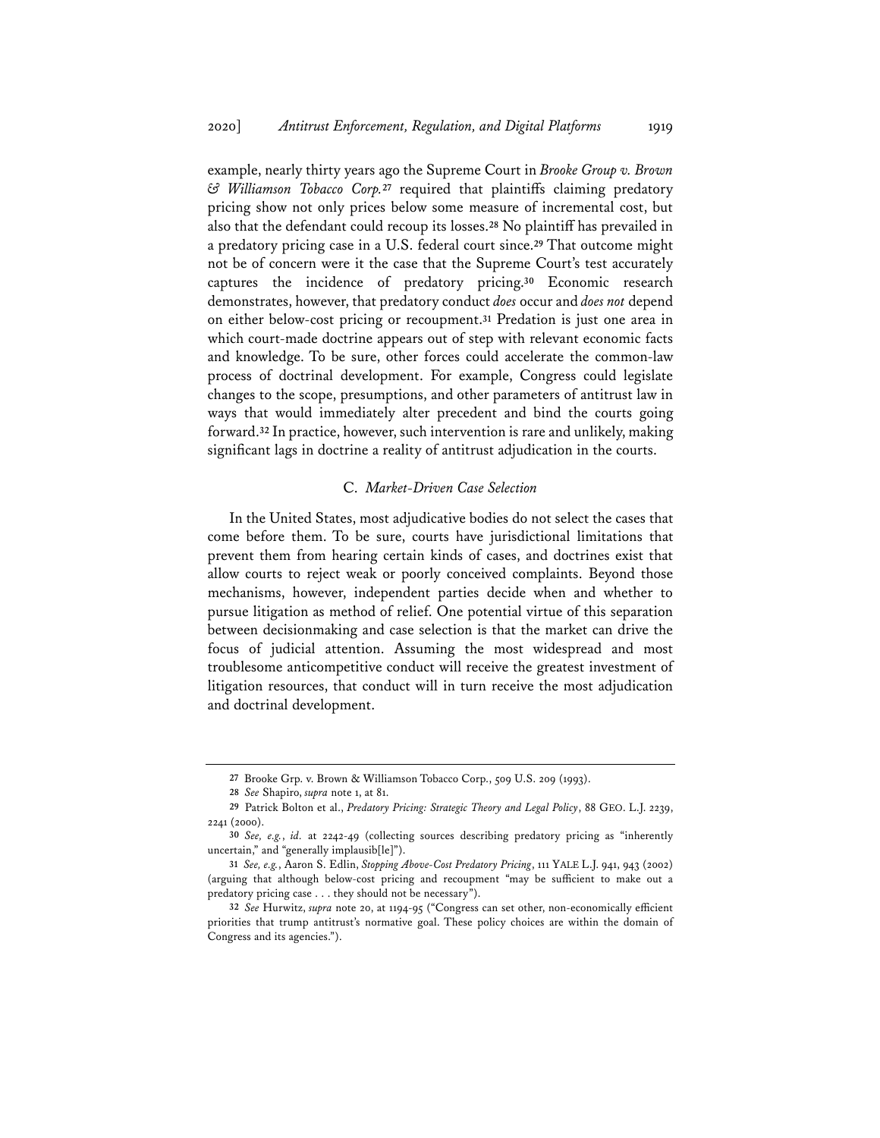example, nearly thirty years ago the Supreme Court in *Brooke Group v. Brown & Williamson Tobacco Corp.***<sup>27</sup>** required that plaintiffs claiming predatory pricing show not only prices below some measure of incremental cost, but also that the defendant could recoup its losses.**<sup>28</sup>** No plaintiff has prevailed in a predatory pricing case in a U.S. federal court since.**<sup>29</sup>** That outcome might not be of concern were it the case that the Supreme Court's test accurately captures the incidence of predatory pricing.**<sup>30</sup>** Economic research demonstrates, however, that predatory conduct *does* occur and *does not* depend on either below-cost pricing or recoupment.**<sup>31</sup>** Predation is just one area in which court-made doctrine appears out of step with relevant economic facts and knowledge. To be sure, other forces could accelerate the common-law process of doctrinal development. For example, Congress could legislate changes to the scope, presumptions, and other parameters of antitrust law in ways that would immediately alter precedent and bind the courts going forward.**<sup>32</sup>** In practice, however, such intervention is rare and unlikely, making significant lags in doctrine a reality of antitrust adjudication in the courts.

#### C. *Market-Driven Case Selection*

In the United States, most adjudicative bodies do not select the cases that come before them. To be sure, courts have jurisdictional limitations that prevent them from hearing certain kinds of cases, and doctrines exist that allow courts to reject weak or poorly conceived complaints. Beyond those mechanisms, however, independent parties decide when and whether to pursue litigation as method of relief. One potential virtue of this separation between decisionmaking and case selection is that the market can drive the focus of judicial attention. Assuming the most widespread and most troublesome anticompetitive conduct will receive the greatest investment of litigation resources, that conduct will in turn receive the most adjudication and doctrinal development.

**<sup>27</sup>** Brooke Grp. v. Brown & Williamson Tobacco Corp., 509 U.S. 209 (1993).

**<sup>28</sup>** *See* Shapiro, *supra* note 1, at 81.

**<sup>29</sup>** Patrick Bolton et al., *Predatory Pricing: Strategic Theory and Legal Policy*, 88 GEO. L.J. 2239, 2241 (2000).

**<sup>30</sup>** *See, e.g.*, *id.* at 2242-49 (collecting sources describing predatory pricing as "inherently uncertain," and "generally implausib[le]").

**<sup>31</sup>** *See, e.g.*, Aaron S. Edlin, *Stopping Above-Cost Predatory Pricing*, 111 YALE L.J. 941, 943 (2002) (arguing that although below-cost pricing and recoupment "may be sufficient to make out a predatory pricing case . . . they should not be necessary").

**<sup>32</sup>** *See* Hurwitz, *supra* note 20, at 1194-95 ("Congress can set other, non-economically efficient priorities that trump antitrust's normative goal. These policy choices are within the domain of Congress and its agencies.").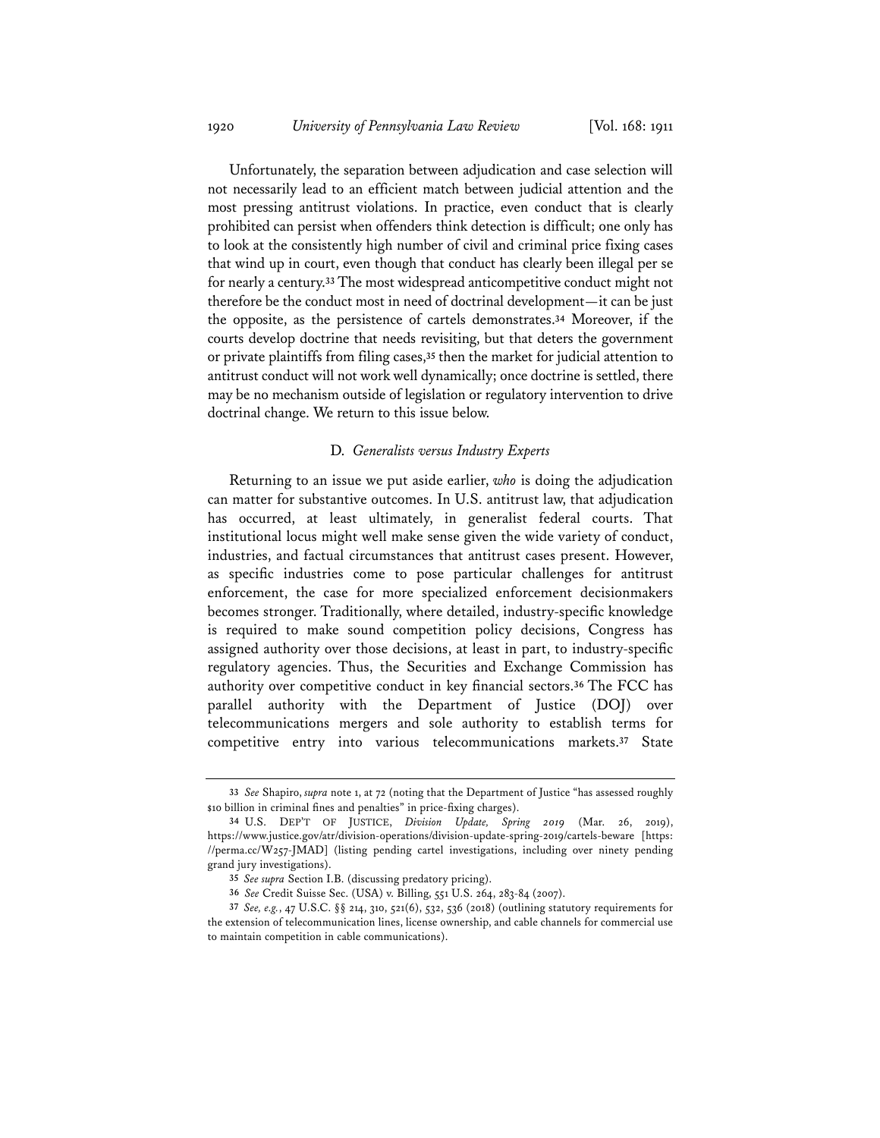Unfortunately, the separation between adjudication and case selection will not necessarily lead to an efficient match between judicial attention and the most pressing antitrust violations. In practice, even conduct that is clearly prohibited can persist when offenders think detection is difficult; one only has to look at the consistently high number of civil and criminal price fixing cases that wind up in court, even though that conduct has clearly been illegal per se for nearly a century.**<sup>33</sup>** The most widespread anticompetitive conduct might not therefore be the conduct most in need of doctrinal development—it can be just the opposite, as the persistence of cartels demonstrates.**<sup>34</sup>** Moreover, if the courts develop doctrine that needs revisiting, but that deters the government or private plaintiffs from filing cases,**<sup>35</sup>** then the market for judicial attention to antitrust conduct will not work well dynamically; once doctrine is settled, there may be no mechanism outside of legislation or regulatory intervention to drive doctrinal change. We return to this issue below.

#### D. *Generalists versus Industry Experts*

Returning to an issue we put aside earlier, *who* is doing the adjudication can matter for substantive outcomes. In U.S. antitrust law, that adjudication has occurred, at least ultimately, in generalist federal courts. That institutional locus might well make sense given the wide variety of conduct, industries, and factual circumstances that antitrust cases present. However, as specific industries come to pose particular challenges for antitrust enforcement, the case for more specialized enforcement decisionmakers becomes stronger. Traditionally, where detailed, industry-specific knowledge is required to make sound competition policy decisions, Congress has assigned authority over those decisions, at least in part, to industry-specific regulatory agencies. Thus, the Securities and Exchange Commission has authority over competitive conduct in key financial sectors.**<sup>36</sup>** The FCC has parallel authority with the Department of Justice (DOJ) over telecommunications mergers and sole authority to establish terms for competitive entry into various telecommunications markets.**<sup>37</sup>** State

**<sup>33</sup>** *See* Shapiro, *supra* note 1, at 72 (noting that the Department of Justice "has assessed roughly \$10 billion in criminal fines and penalties" in price-fixing charges).

**<sup>34</sup>** U.S. DEP'T OF JUSTICE, *Division Update, Spring 2019* (Mar. 26, 2019), https://www.justice.gov/atr/division-operations/division-update-spring-2019/cartels-beware [https: //perma.cc/W257-JMAD] (listing pending cartel investigations, including over ninety pending grand jury investigations).

**<sup>35</sup>** *See supra* Section I.B. (discussing predatory pricing).

**<sup>36</sup>** *See* Credit Suisse Sec. (USA) v. Billing, 551 U.S. 264, 283-84 (2007).

**<sup>37</sup>** *See, e.g.*, 47 U.S.C. §§ 214, 310, 521(6), 532, 536 (2018) (outlining statutory requirements for the extension of telecommunication lines, license ownership, and cable channels for commercial use to maintain competition in cable communications).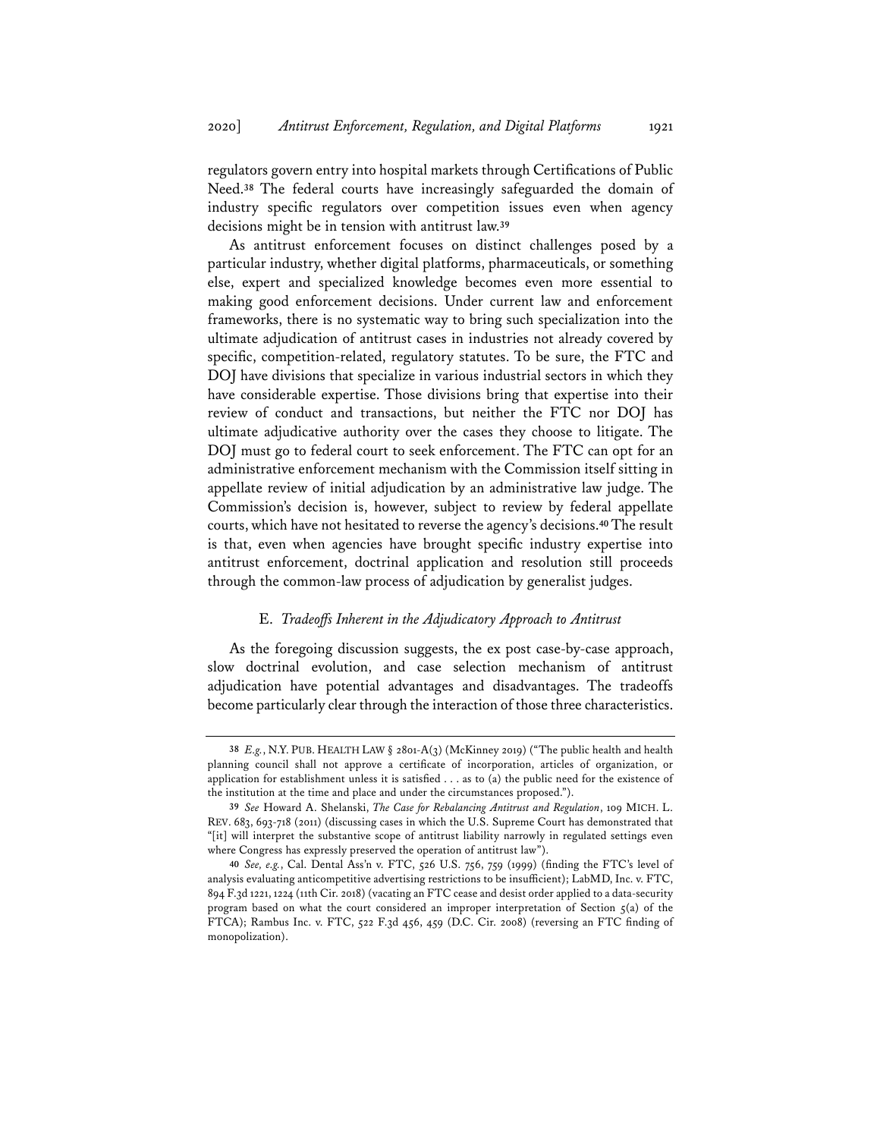regulators govern entry into hospital markets through Certifications of Public Need.**<sup>38</sup>** The federal courts have increasingly safeguarded the domain of industry specific regulators over competition issues even when agency decisions might be in tension with antitrust law.**<sup>39</sup>**

As antitrust enforcement focuses on distinct challenges posed by a particular industry, whether digital platforms, pharmaceuticals, or something else, expert and specialized knowledge becomes even more essential to making good enforcement decisions. Under current law and enforcement frameworks, there is no systematic way to bring such specialization into the ultimate adjudication of antitrust cases in industries not already covered by specific, competition-related, regulatory statutes. To be sure, the FTC and DOJ have divisions that specialize in various industrial sectors in which they have considerable expertise. Those divisions bring that expertise into their review of conduct and transactions, but neither the FTC nor DOJ has ultimate adjudicative authority over the cases they choose to litigate. The DOJ must go to federal court to seek enforcement. The FTC can opt for an administrative enforcement mechanism with the Commission itself sitting in appellate review of initial adjudication by an administrative law judge. The Commission's decision is, however, subject to review by federal appellate courts, which have not hesitated to reverse the agency's decisions.**40**The result is that, even when agencies have brought specific industry expertise into antitrust enforcement, doctrinal application and resolution still proceeds through the common-law process of adjudication by generalist judges.

#### E. *Tradeoffs Inherent in the Adjudicatory Approach to Antitrust*

As the foregoing discussion suggests, the ex post case-by-case approach, slow doctrinal evolution, and case selection mechanism of antitrust adjudication have potential advantages and disadvantages. The tradeoffs become particularly clear through the interaction of those three characteristics.

**<sup>38</sup>** *E.g.*, N.Y. PUB. HEALTH LAW § 2801-A(3) (McKinney 2019) ("The public health and health planning council shall not approve a certificate of incorporation, articles of organization, or application for establishment unless it is satisfied . . . as to (a) the public need for the existence of the institution at the time and place and under the circumstances proposed.").

**<sup>39</sup>** *See* Howard A. Shelanski, *The Case for Rebalancing Antitrust and Regulation*, 109 MICH. L. REV. 683, 693-718 (2011) (discussing cases in which the U.S. Supreme Court has demonstrated that "[it] will interpret the substantive scope of antitrust liability narrowly in regulated settings even where Congress has expressly preserved the operation of antitrust law").

**<sup>40</sup>** *See, e.g.*, Cal. Dental Ass'n v. FTC, 526 U.S. 756, 759 (1999) (finding the FTC's level of analysis evaluating anticompetitive advertising restrictions to be insufficient); LabMD, Inc. v. FTC, 894 F.3d 1221, 1224 (11th Cir. 2018) (vacating an FTC cease and desist order applied to a data-security program based on what the court considered an improper interpretation of Section 5(a) of the FTCA); Rambus Inc. v. FTC, 522 F.3d 456, 459 (D.C. Cir. 2008) (reversing an FTC finding of monopolization).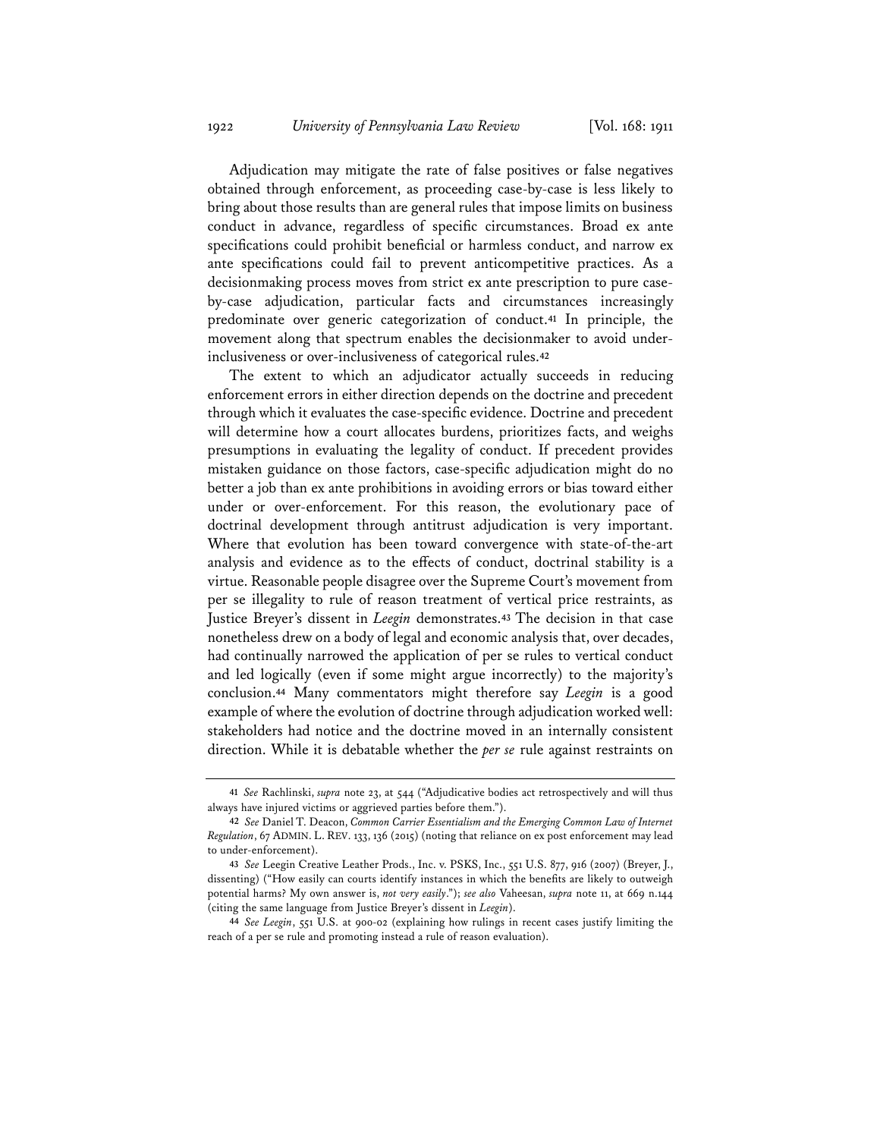Adjudication may mitigate the rate of false positives or false negatives obtained through enforcement, as proceeding case-by-case is less likely to bring about those results than are general rules that impose limits on business conduct in advance, regardless of specific circumstances. Broad ex ante specifications could prohibit beneficial or harmless conduct, and narrow ex ante specifications could fail to prevent anticompetitive practices. As a decisionmaking process moves from strict ex ante prescription to pure caseby-case adjudication, particular facts and circumstances increasingly predominate over generic categorization of conduct.**<sup>41</sup>** In principle, the movement along that spectrum enables the decisionmaker to avoid underinclusiveness or over-inclusiveness of categorical rules.**<sup>42</sup>**

The extent to which an adjudicator actually succeeds in reducing enforcement errors in either direction depends on the doctrine and precedent through which it evaluates the case-specific evidence. Doctrine and precedent will determine how a court allocates burdens, prioritizes facts, and weighs presumptions in evaluating the legality of conduct. If precedent provides mistaken guidance on those factors, case-specific adjudication might do no better a job than ex ante prohibitions in avoiding errors or bias toward either under or over-enforcement. For this reason, the evolutionary pace of doctrinal development through antitrust adjudication is very important. Where that evolution has been toward convergence with state-of-the-art analysis and evidence as to the effects of conduct, doctrinal stability is a virtue. Reasonable people disagree over the Supreme Court's movement from per se illegality to rule of reason treatment of vertical price restraints, as Justice Breyer's dissent in *Leegin* demonstrates.**<sup>43</sup>** The decision in that case nonetheless drew on a body of legal and economic analysis that, over decades, had continually narrowed the application of per se rules to vertical conduct and led logically (even if some might argue incorrectly) to the majority's conclusion.**<sup>44</sup>** Many commentators might therefore say *Leegin* is a good example of where the evolution of doctrine through adjudication worked well: stakeholders had notice and the doctrine moved in an internally consistent direction. While it is debatable whether the *per se* rule against restraints on

**<sup>41</sup>** *See* Rachlinski, *supra* note 23, at 544 ("Adjudicative bodies act retrospectively and will thus always have injured victims or aggrieved parties before them.").

**<sup>42</sup>** *See* Daniel T. Deacon, *Common Carrier Essentialism and the Emerging Common Law of Internet Regulation*, 67 ADMIN. L. REV. 133, 136 (2015) (noting that reliance on ex post enforcement may lead to under-enforcement).

**<sup>43</sup>** *See* Leegin Creative Leather Prods., Inc. v. PSKS, Inc., 551 U.S. 877, 916 (2007) (Breyer, J., dissenting) ("How easily can courts identify instances in which the benefits are likely to outweigh potential harms? My own answer is, *not very easily*."); *see also* Vaheesan, *supra* note 11, at 669 n.144 (citing the same language from Justice Breyer's dissent in *Leegin*).

**<sup>44</sup>** *See Leegin*, 551 U.S. at 900-02 (explaining how rulings in recent cases justify limiting the reach of a per se rule and promoting instead a rule of reason evaluation).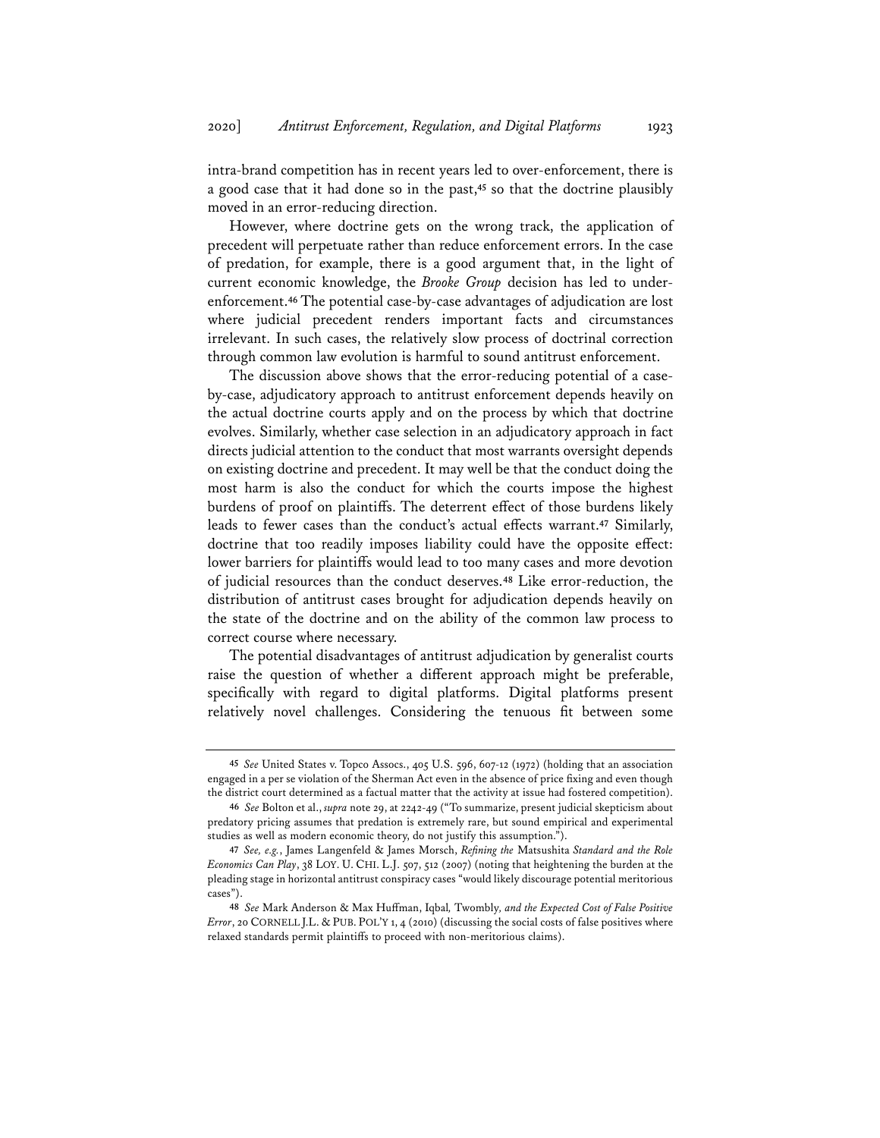intra-brand competition has in recent years led to over-enforcement, there is a good case that it had done so in the past,**<sup>45</sup>** so that the doctrine plausibly moved in an error-reducing direction.

However, where doctrine gets on the wrong track, the application of precedent will perpetuate rather than reduce enforcement errors. In the case of predation, for example, there is a good argument that, in the light of current economic knowledge, the *Brooke Group* decision has led to underenforcement.**<sup>46</sup>** The potential case-by-case advantages of adjudication are lost where judicial precedent renders important facts and circumstances irrelevant. In such cases, the relatively slow process of doctrinal correction through common law evolution is harmful to sound antitrust enforcement.

The discussion above shows that the error-reducing potential of a caseby-case, adjudicatory approach to antitrust enforcement depends heavily on the actual doctrine courts apply and on the process by which that doctrine evolves. Similarly, whether case selection in an adjudicatory approach in fact directs judicial attention to the conduct that most warrants oversight depends on existing doctrine and precedent. It may well be that the conduct doing the most harm is also the conduct for which the courts impose the highest burdens of proof on plaintiffs. The deterrent effect of those burdens likely leads to fewer cases than the conduct's actual effects warrant.**<sup>47</sup>** Similarly, doctrine that too readily imposes liability could have the opposite effect: lower barriers for plaintiffs would lead to too many cases and more devotion of judicial resources than the conduct deserves.**<sup>48</sup>** Like error-reduction, the distribution of antitrust cases brought for adjudication depends heavily on the state of the doctrine and on the ability of the common law process to correct course where necessary.

The potential disadvantages of antitrust adjudication by generalist courts raise the question of whether a different approach might be preferable, specifically with regard to digital platforms. Digital platforms present relatively novel challenges. Considering the tenuous fit between some

**<sup>45</sup>** *See* United States v. Topco Assocs., 405 U.S. 596, 607-12 (1972) (holding that an association engaged in a per se violation of the Sherman Act even in the absence of price fixing and even though the district court determined as a factual matter that the activity at issue had fostered competition).

**<sup>46</sup>** *See* Bolton et al., *supra* note 29, at 2242-49 ("To summarize, present judicial skepticism about predatory pricing assumes that predation is extremely rare, but sound empirical and experimental studies as well as modern economic theory, do not justify this assumption.").

**<sup>47</sup>** *See, e.g.*, James Langenfeld & James Morsch, *Refining the* Matsushita *Standard and the Role Economics Can Play*, 38 LOY. U. CHI. L.J. 507, 512 (2007) (noting that heightening the burden at the pleading stage in horizontal antitrust conspiracy cases "would likely discourage potential meritorious cases").

**<sup>48</sup>** *See* Mark Anderson & Max Huffman, Iqbal*,* Twombly*, and the Expected Cost of False Positive Error*, 20 CORNELL J.L. & PUB. POL'Y 1, 4 (2010) (discussing the social costs of false positives where relaxed standards permit plaintiffs to proceed with non-meritorious claims).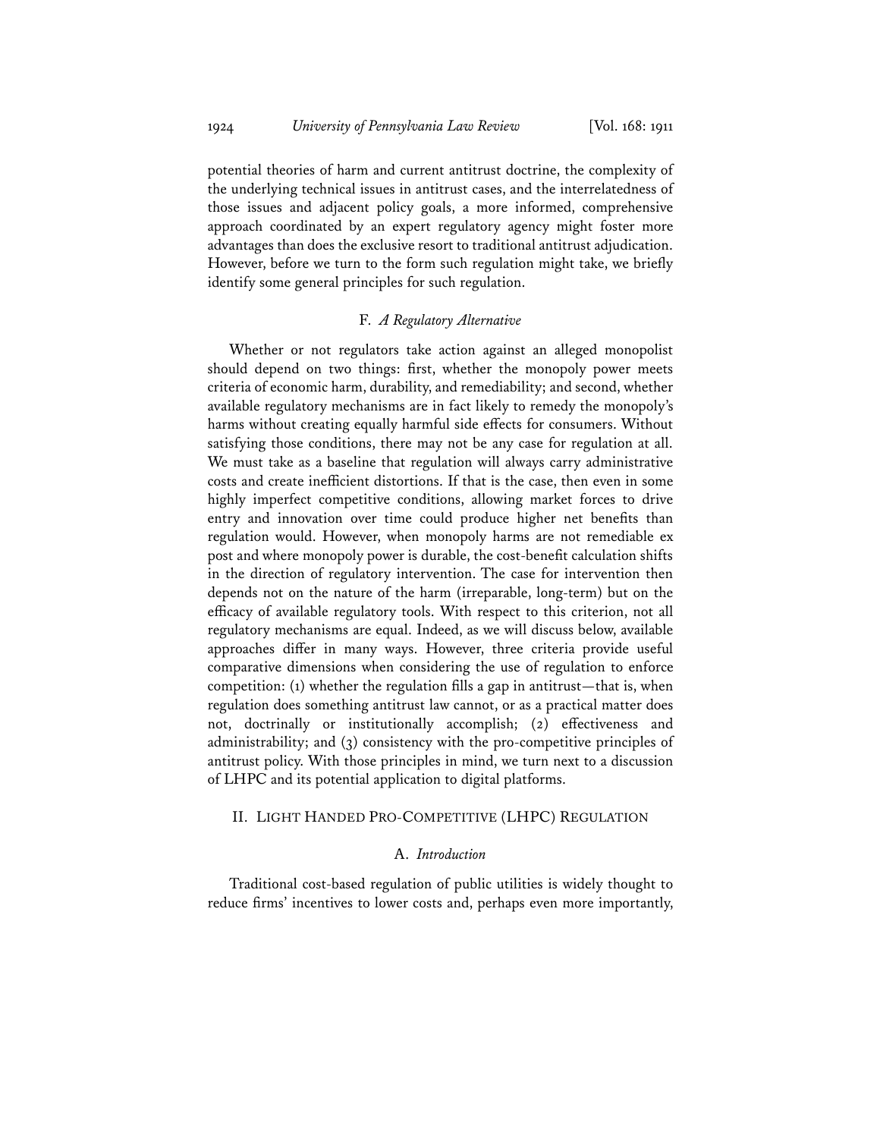potential theories of harm and current antitrust doctrine, the complexity of the underlying technical issues in antitrust cases, and the interrelatedness of those issues and adjacent policy goals, a more informed, comprehensive approach coordinated by an expert regulatory agency might foster more advantages than does the exclusive resort to traditional antitrust adjudication. However, before we turn to the form such regulation might take, we briefly identify some general principles for such regulation.

#### F. *A Regulatory Alternative*

Whether or not regulators take action against an alleged monopolist should depend on two things: first, whether the monopoly power meets criteria of economic harm, durability, and remediability; and second, whether available regulatory mechanisms are in fact likely to remedy the monopoly's harms without creating equally harmful side effects for consumers. Without satisfying those conditions, there may not be any case for regulation at all. We must take as a baseline that regulation will always carry administrative costs and create inefficient distortions. If that is the case, then even in some highly imperfect competitive conditions, allowing market forces to drive entry and innovation over time could produce higher net benefits than regulation would. However, when monopoly harms are not remediable ex post and where monopoly power is durable, the cost-benefit calculation shifts in the direction of regulatory intervention. The case for intervention then depends not on the nature of the harm (irreparable, long-term) but on the efficacy of available regulatory tools. With respect to this criterion, not all regulatory mechanisms are equal. Indeed, as we will discuss below, available approaches differ in many ways. However, three criteria provide useful comparative dimensions when considering the use of regulation to enforce competition: (1) whether the regulation fills a gap in antitrust—that is, when regulation does something antitrust law cannot, or as a practical matter does not, doctrinally or institutionally accomplish; (2) effectiveness and administrability; and (3) consistency with the pro-competitive principles of antitrust policy. With those principles in mind, we turn next to a discussion of LHPC and its potential application to digital platforms.

#### II. LIGHT HANDED PRO-COMPETITIVE (LHPC) REGULATION

# A. *Introduction*

Traditional cost-based regulation of public utilities is widely thought to reduce firms' incentives to lower costs and, perhaps even more importantly,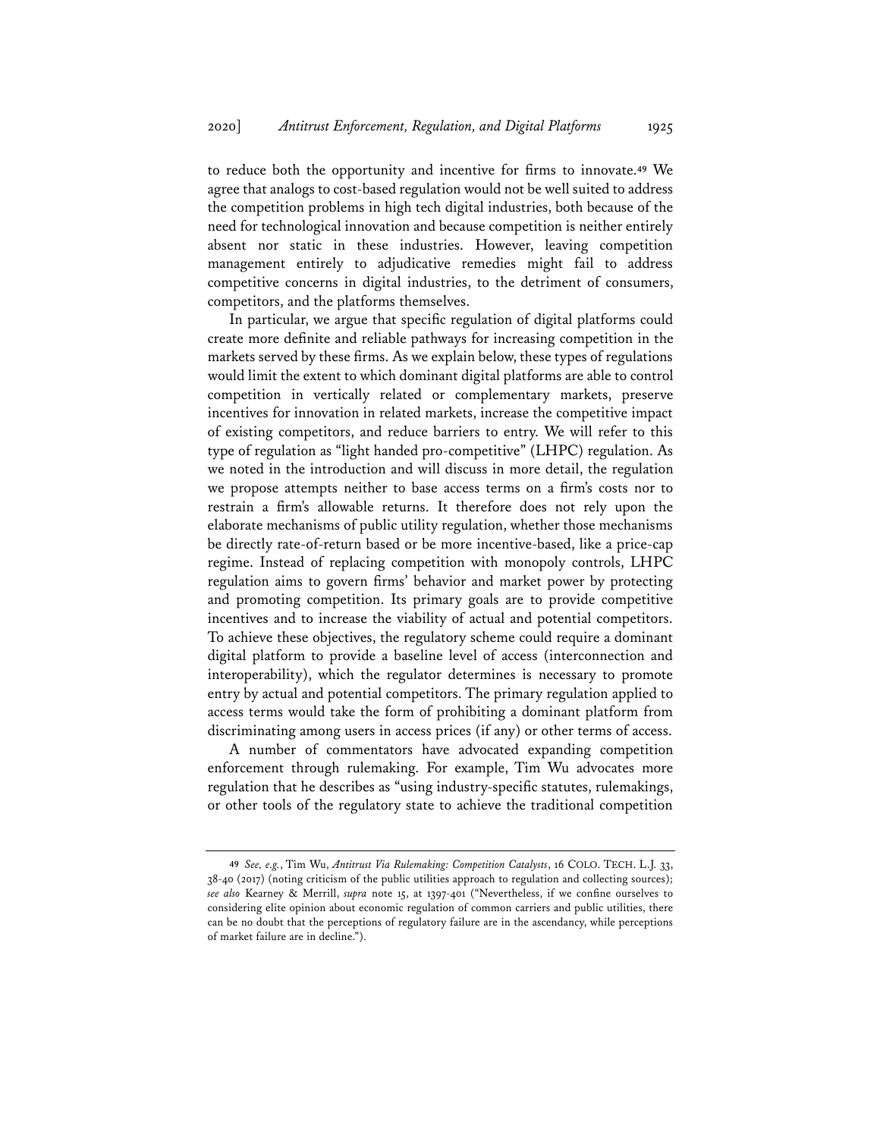to reduce both the opportunity and incentive for firms to innovate.**<sup>49</sup>** We agree that analogs to cost-based regulation would not be well suited to address the competition problems in high tech digital industries, both because of the need for technological innovation and because competition is neither entirely absent nor static in these industries. However, leaving competition management entirely to adjudicative remedies might fail to address competitive concerns in digital industries, to the detriment of consumers, competitors, and the platforms themselves.

In particular, we argue that specific regulation of digital platforms could create more definite and reliable pathways for increasing competition in the markets served by these firms. As we explain below, these types of regulations would limit the extent to which dominant digital platforms are able to control competition in vertically related or complementary markets, preserve incentives for innovation in related markets, increase the competitive impact of existing competitors, and reduce barriers to entry. We will refer to this type of regulation as "light handed pro-competitive" (LHPC) regulation. As we noted in the introduction and will discuss in more detail, the regulation we propose attempts neither to base access terms on a firm's costs nor to restrain a firm's allowable returns. It therefore does not rely upon the elaborate mechanisms of public utility regulation, whether those mechanisms be directly rate-of-return based or be more incentive-based, like a price-cap regime. Instead of replacing competition with monopoly controls, LHPC regulation aims to govern firms' behavior and market power by protecting and promoting competition. Its primary goals are to provide competitive incentives and to increase the viability of actual and potential competitors. To achieve these objectives, the regulatory scheme could require a dominant digital platform to provide a baseline level of access (interconnection and interoperability), which the regulator determines is necessary to promote entry by actual and potential competitors. The primary regulation applied to access terms would take the form of prohibiting a dominant platform from discriminating among users in access prices (if any) or other terms of access.

A number of commentators have advocated expanding competition enforcement through rulemaking. For example, Tim Wu advocates more regulation that he describes as "using industry-specific statutes, rulemakings, or other tools of the regulatory state to achieve the traditional competition

**<sup>49</sup>** *See, e.g.*, Tim Wu, *Antitrust Via Rulemaking: Competition Catalysts*, 16 COLO. TECH. L.J. 33, 38-40 (2017) (noting criticism of the public utilities approach to regulation and collecting sources); *see also* Kearney & Merrill, *supra* note 15, at 1397-401 ("Nevertheless, if we confine ourselves to considering elite opinion about economic regulation of common carriers and public utilities, there can be no doubt that the perceptions of regulatory failure are in the ascendancy, while perceptions of market failure are in decline.").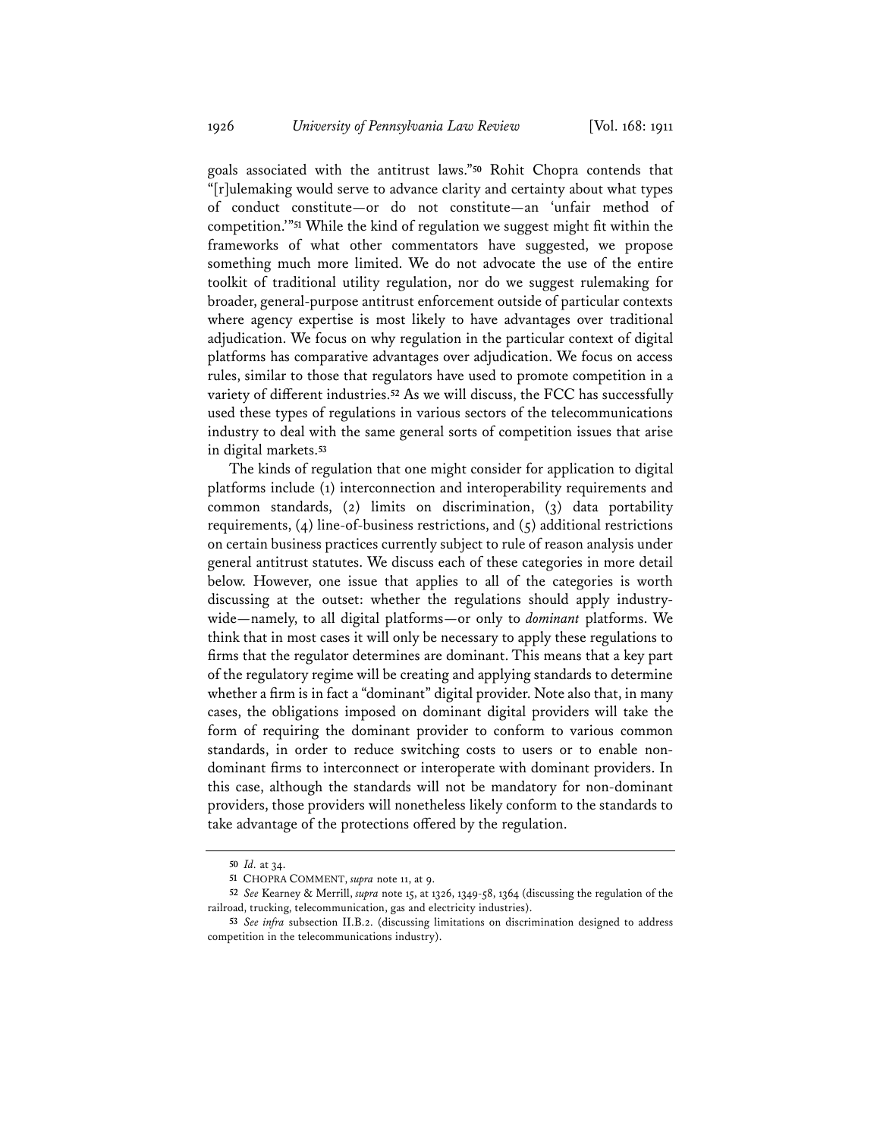goals associated with the antitrust laws."**<sup>50</sup>** Rohit Chopra contends that "[r]ulemaking would serve to advance clarity and certainty about what types of conduct constitute—or do not constitute—an 'unfair method of competition.'"**<sup>51</sup>** While the kind of regulation we suggest might fit within the frameworks of what other commentators have suggested, we propose something much more limited. We do not advocate the use of the entire toolkit of traditional utility regulation, nor do we suggest rulemaking for broader, general-purpose antitrust enforcement outside of particular contexts where agency expertise is most likely to have advantages over traditional adjudication. We focus on why regulation in the particular context of digital platforms has comparative advantages over adjudication. We focus on access rules, similar to those that regulators have used to promote competition in a variety of different industries.**<sup>52</sup>** As we will discuss, the FCC has successfully used these types of regulations in various sectors of the telecommunications industry to deal with the same general sorts of competition issues that arise in digital markets.**<sup>53</sup>**

The kinds of regulation that one might consider for application to digital platforms include (1) interconnection and interoperability requirements and common standards, (2) limits on discrimination, (3) data portability requirements, (4) line-of-business restrictions, and (5) additional restrictions on certain business practices currently subject to rule of reason analysis under general antitrust statutes. We discuss each of these categories in more detail below. However, one issue that applies to all of the categories is worth discussing at the outset: whether the regulations should apply industrywide—namely, to all digital platforms—or only to *dominant* platforms. We think that in most cases it will only be necessary to apply these regulations to firms that the regulator determines are dominant. This means that a key part of the regulatory regime will be creating and applying standards to determine whether a firm is in fact a "dominant" digital provider. Note also that, in many cases, the obligations imposed on dominant digital providers will take the form of requiring the dominant provider to conform to various common standards, in order to reduce switching costs to users or to enable nondominant firms to interconnect or interoperate with dominant providers. In this case, although the standards will not be mandatory for non-dominant providers, those providers will nonetheless likely conform to the standards to take advantage of the protections offered by the regulation.

**<sup>50</sup>** *Id.* at 34.

**<sup>51</sup>** CHOPRA COMMENT, *supra* note 11, at 9.

**<sup>52</sup>** *See* Kearney & Merrill, *supra* note 15, at 1326, 1349-58, 1364 (discussing the regulation of the railroad, trucking, telecommunication, gas and electricity industries).

**<sup>53</sup>** *See infra* subsection II.B.2. (discussing limitations on discrimination designed to address competition in the telecommunications industry).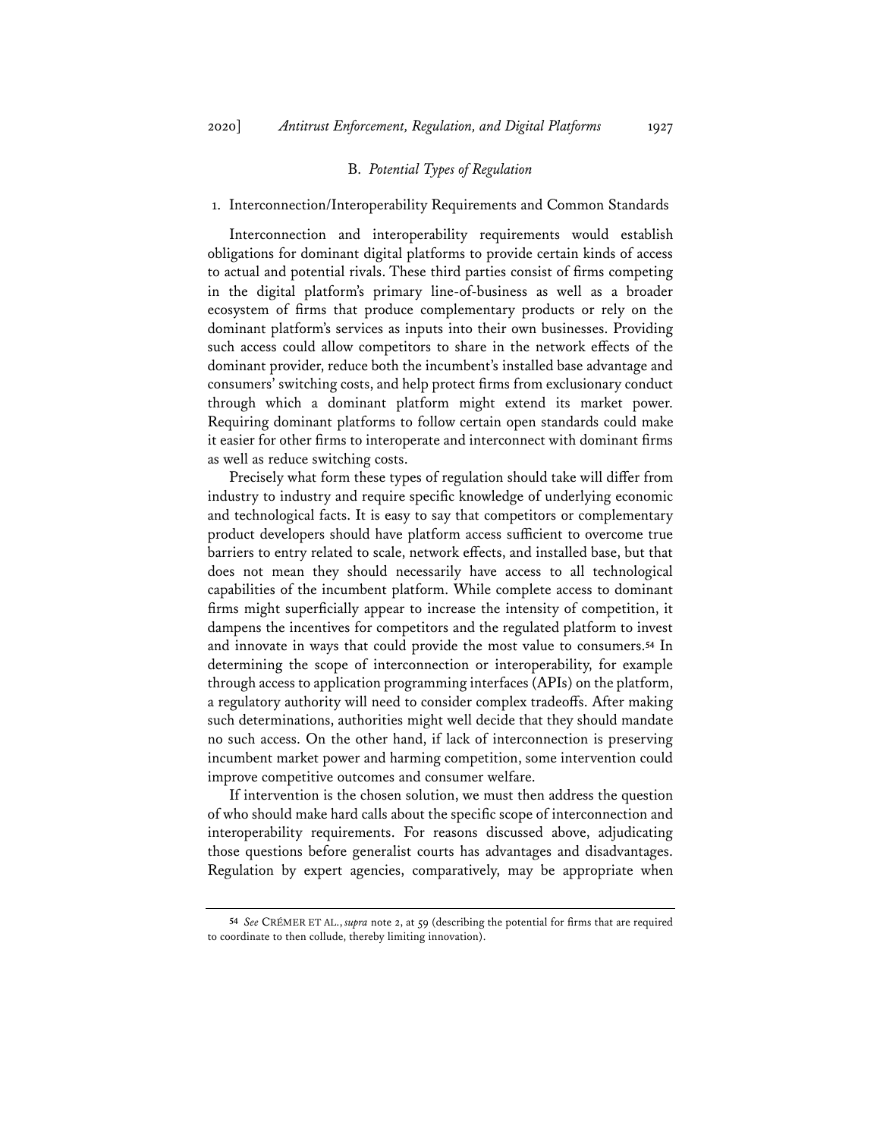#### B. *Potential Types of Regulation*

#### 1. Interconnection/Interoperability Requirements and Common Standards

Interconnection and interoperability requirements would establish obligations for dominant digital platforms to provide certain kinds of access to actual and potential rivals. These third parties consist of firms competing in the digital platform's primary line-of-business as well as a broader ecosystem of firms that produce complementary products or rely on the dominant platform's services as inputs into their own businesses. Providing such access could allow competitors to share in the network effects of the dominant provider, reduce both the incumbent's installed base advantage and consumers' switching costs, and help protect firms from exclusionary conduct through which a dominant platform might extend its market power. Requiring dominant platforms to follow certain open standards could make it easier for other firms to interoperate and interconnect with dominant firms as well as reduce switching costs.

Precisely what form these types of regulation should take will differ from industry to industry and require specific knowledge of underlying economic and technological facts. It is easy to say that competitors or complementary product developers should have platform access sufficient to overcome true barriers to entry related to scale, network effects, and installed base, but that does not mean they should necessarily have access to all technological capabilities of the incumbent platform. While complete access to dominant firms might superficially appear to increase the intensity of competition, it dampens the incentives for competitors and the regulated platform to invest and innovate in ways that could provide the most value to consumers.**<sup>54</sup>** In determining the scope of interconnection or interoperability, for example through access to application programming interfaces (APIs) on the platform, a regulatory authority will need to consider complex tradeoffs. After making such determinations, authorities might well decide that they should mandate no such access. On the other hand, if lack of interconnection is preserving incumbent market power and harming competition, some intervention could improve competitive outcomes and consumer welfare.

If intervention is the chosen solution, we must then address the question of who should make hard calls about the specific scope of interconnection and interoperability requirements. For reasons discussed above, adjudicating those questions before generalist courts has advantages and disadvantages. Regulation by expert agencies, comparatively, may be appropriate when

**<sup>54</sup>** *See* CRÉMER ET AL., *supra* note 2, at 59 (describing the potential for firms that are required to coordinate to then collude, thereby limiting innovation).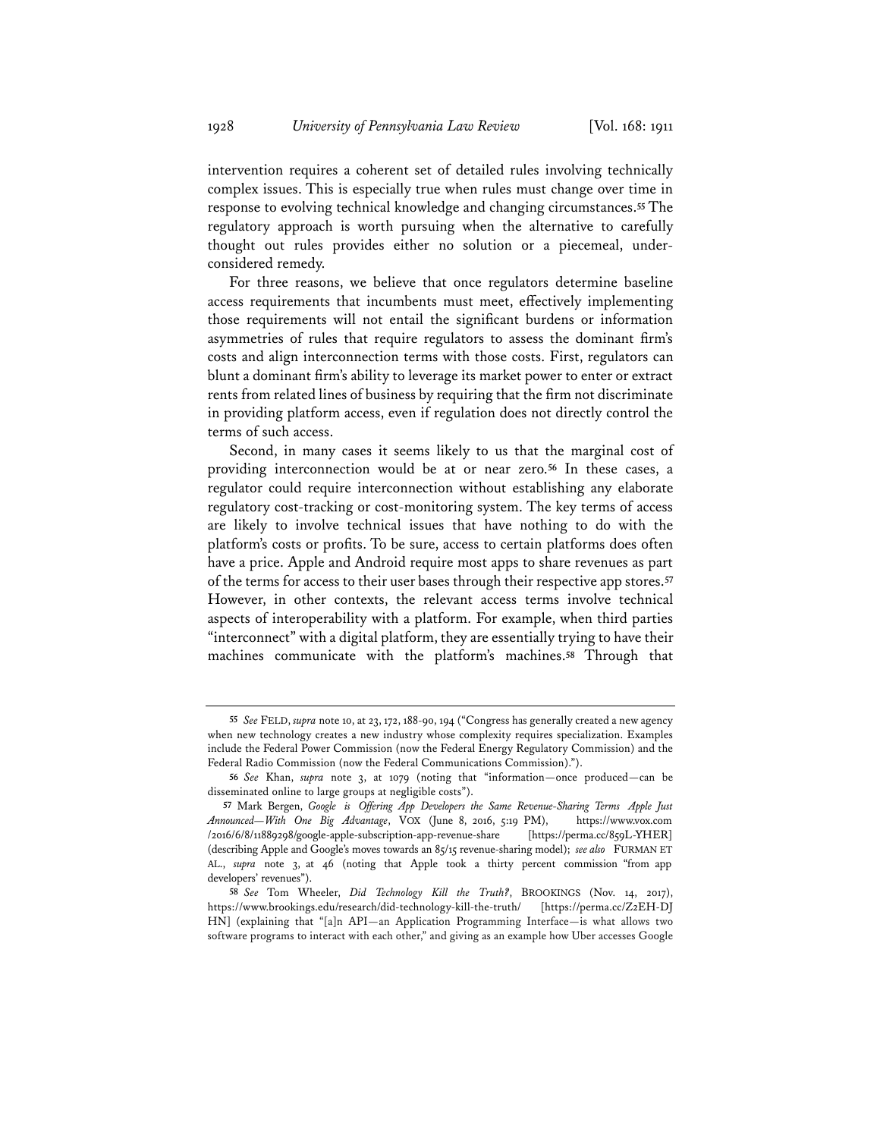intervention requires a coherent set of detailed rules involving technically complex issues. This is especially true when rules must change over time in response to evolving technical knowledge and changing circumstances.**<sup>55</sup>** The regulatory approach is worth pursuing when the alternative to carefully thought out rules provides either no solution or a piecemeal, underconsidered remedy.

For three reasons, we believe that once regulators determine baseline access requirements that incumbents must meet, effectively implementing those requirements will not entail the significant burdens or information asymmetries of rules that require regulators to assess the dominant firm's costs and align interconnection terms with those costs. First, regulators can blunt a dominant firm's ability to leverage its market power to enter or extract rents from related lines of business by requiring that the firm not discriminate in providing platform access, even if regulation does not directly control the terms of such access.

Second, in many cases it seems likely to us that the marginal cost of providing interconnection would be at or near zero.**<sup>56</sup>** In these cases, a regulator could require interconnection without establishing any elaborate regulatory cost-tracking or cost-monitoring system. The key terms of access are likely to involve technical issues that have nothing to do with the platform's costs or profits. To be sure, access to certain platforms does often have a price. Apple and Android require most apps to share revenues as part of the terms for access to their user bases through their respective app stores.**<sup>57</sup>** However, in other contexts, the relevant access terms involve technical aspects of interoperability with a platform. For example, when third parties "interconnect" with a digital platform, they are essentially trying to have their machines communicate with the platform's machines.**<sup>58</sup>** Through that

**<sup>55</sup>** *See* FELD, *supra* note 10, at 23, 172, 188-90, 194 ("Congress has generally created a new agency when new technology creates a new industry whose complexity requires specialization. Examples include the Federal Power Commission (now the Federal Energy Regulatory Commission) and the Federal Radio Commission (now the Federal Communications Commission).").

**<sup>56</sup>** *See* Khan, *supra* note 3, at 1079 (noting that "information—once produced—can be disseminated online to large groups at negligible costs").

**<sup>57</sup>** Mark Bergen, *Google is Offering App Developers the Same Revenue-Sharing Terms Apple Just Announced—With One Big Advantage*, VOX (June 8, 2016, 5:19 PM), https://www.vox.com /2016/6/8/11889298/google-apple-subscription-app-revenue-share [https://perma.cc/859L-YHER] (describing Apple and Google's moves towards an 85/15 revenue-sharing model); *see also* FURMAN ET AL., *supra* note 3, at 46 (noting that Apple took a thirty percent commission "from app developers' revenues").

**<sup>58</sup>** *See* Tom Wheeler, *Did Technology Kill the Truth?*, BROOKINGS (Nov. 14, 2017), https://www.brookings.edu/research/did-technology-kill-the-truth/ [https://perma.cc/Z2EH-DJ HN] (explaining that "[a]n API—an Application Programming Interface—is what allows two software programs to interact with each other," and giving as an example how Uber accesses Google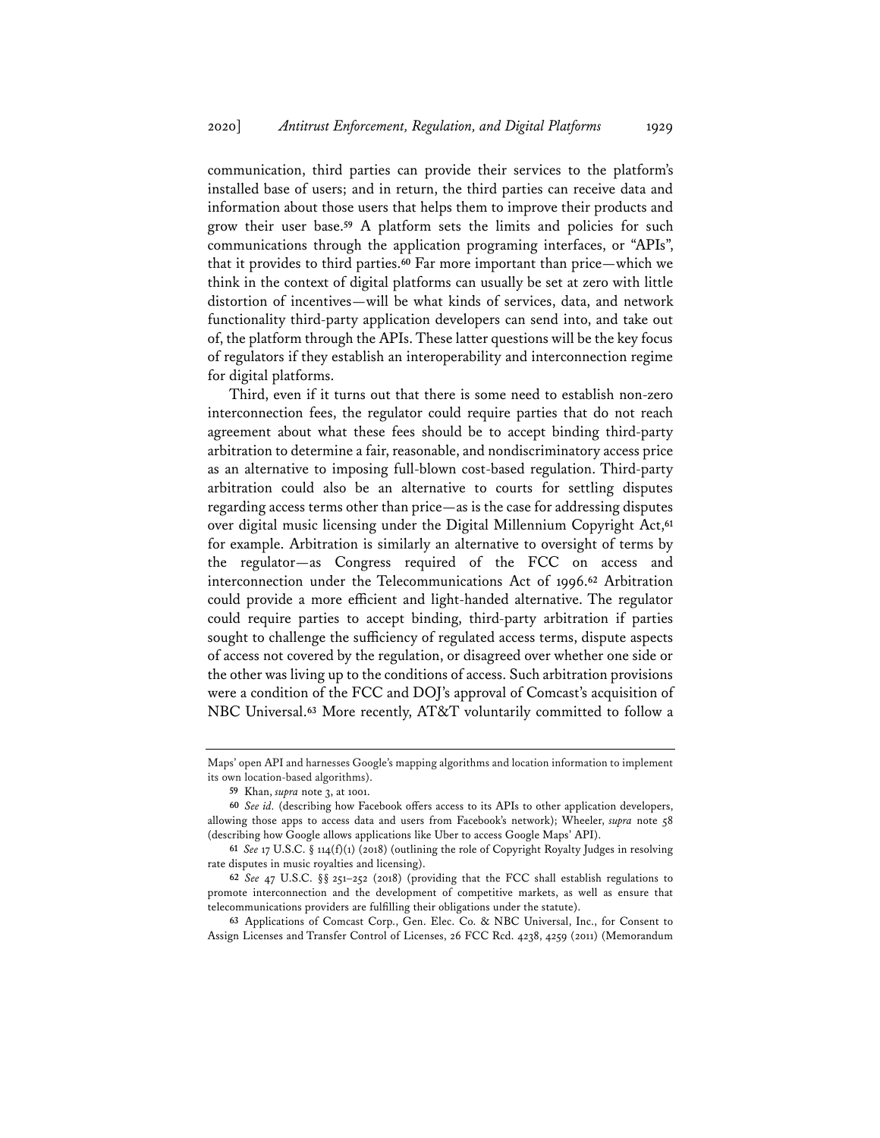communication, third parties can provide their services to the platform's installed base of users; and in return, the third parties can receive data and information about those users that helps them to improve their products and grow their user base.**<sup>59</sup>** A platform sets the limits and policies for such communications through the application programing interfaces, or "APIs", that it provides to third parties.**<sup>60</sup>** Far more important than price—which we think in the context of digital platforms can usually be set at zero with little distortion of incentives—will be what kinds of services, data, and network functionality third-party application developers can send into, and take out of, the platform through the APIs. These latter questions will be the key focus of regulators if they establish an interoperability and interconnection regime for digital platforms.

Third, even if it turns out that there is some need to establish non-zero interconnection fees, the regulator could require parties that do not reach agreement about what these fees should be to accept binding third-party arbitration to determine a fair, reasonable, and nondiscriminatory access price as an alternative to imposing full-blown cost-based regulation. Third-party arbitration could also be an alternative to courts for settling disputes regarding access terms other than price—as is the case for addressing disputes over digital music licensing under the Digital Millennium Copyright Act,**<sup>61</sup>** for example. Arbitration is similarly an alternative to oversight of terms by the regulator—as Congress required of the FCC on access and interconnection under the Telecommunications Act of 1996.**<sup>62</sup>** Arbitration could provide a more efficient and light-handed alternative. The regulator could require parties to accept binding, third-party arbitration if parties sought to challenge the sufficiency of regulated access terms, dispute aspects of access not covered by the regulation, or disagreed over whether one side or the other was living up to the conditions of access. Such arbitration provisions were a condition of the FCC and DOJ's approval of Comcast's acquisition of NBC Universal.**<sup>63</sup>** More recently, AT&T voluntarily committed to follow a

**63** Applications of Comcast Corp., Gen. Elec. Co. & NBC Universal, Inc., for Consent to Assign Licenses and Transfer Control of Licenses, 26 FCC Rcd. 4238, 4259 (2011) (Memorandum

Maps' open API and harnesses Google's mapping algorithms and location information to implement its own location-based algorithms).

**<sup>59</sup>** Khan, *supra* note 3, at 1001.

**<sup>60</sup>** *See id.* (describing how Facebook offers access to its APIs to other application developers, allowing those apps to access data and users from Facebook's network); Wheeler, *supra* note 58 (describing how Google allows applications like Uber to access Google Maps' API).

**<sup>61</sup>** *See* 17 U.S.C. § 114(f)(1) (2018) (outlining the role of Copyright Royalty Judges in resolving rate disputes in music royalties and licensing).

**<sup>62</sup>** *See* 47 U.S.C. §§ 251–252 (2018) (providing that the FCC shall establish regulations to promote interconnection and the development of competitive markets, as well as ensure that telecommunications providers are fulfilling their obligations under the statute).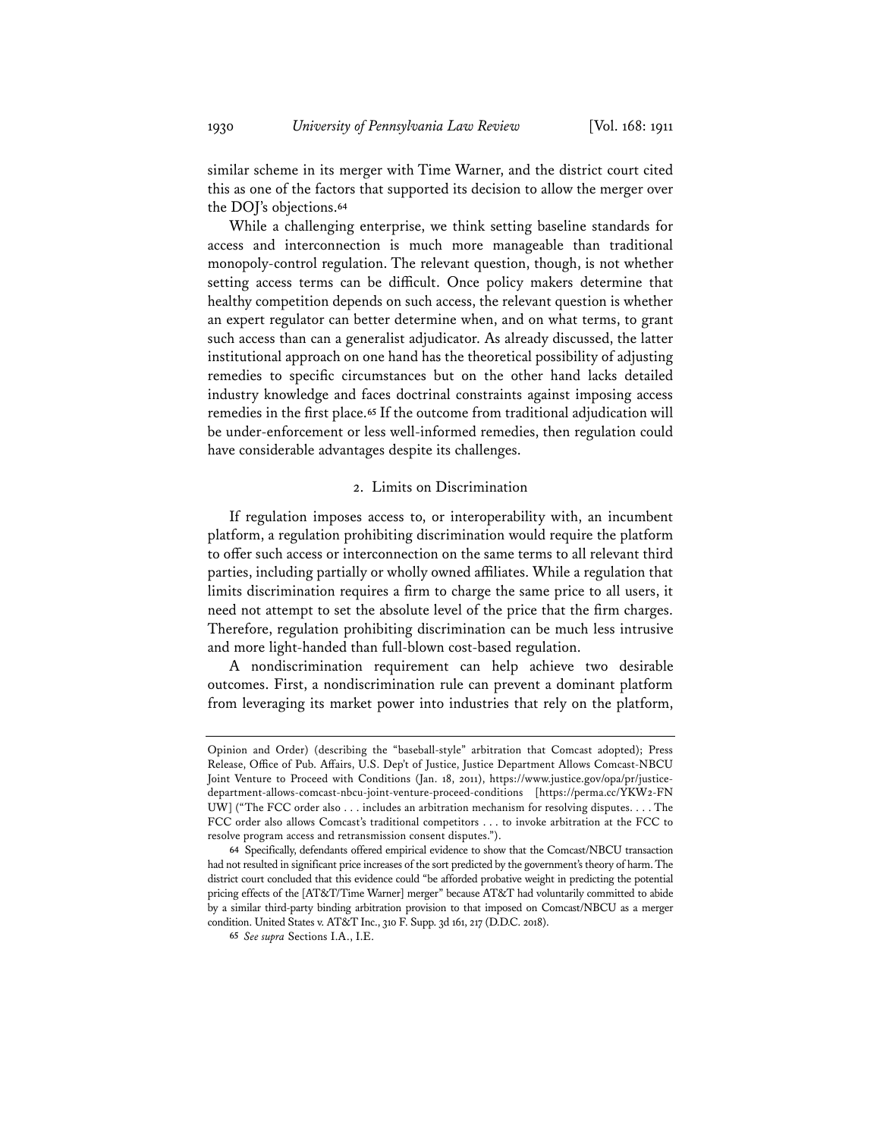similar scheme in its merger with Time Warner, and the district court cited this as one of the factors that supported its decision to allow the merger over the DOJ's objections.**<sup>64</sup>**

While a challenging enterprise, we think setting baseline standards for access and interconnection is much more manageable than traditional monopoly-control regulation. The relevant question, though, is not whether setting access terms can be difficult. Once policy makers determine that healthy competition depends on such access, the relevant question is whether an expert regulator can better determine when, and on what terms, to grant such access than can a generalist adjudicator. As already discussed, the latter institutional approach on one hand has the theoretical possibility of adjusting remedies to specific circumstances but on the other hand lacks detailed industry knowledge and faces doctrinal constraints against imposing access remedies in the first place.**<sup>65</sup>** If the outcome from traditional adjudication will be under-enforcement or less well-informed remedies, then regulation could have considerable advantages despite its challenges.

#### 2. Limits on Discrimination

If regulation imposes access to, or interoperability with, an incumbent platform, a regulation prohibiting discrimination would require the platform to offer such access or interconnection on the same terms to all relevant third parties, including partially or wholly owned affiliates. While a regulation that limits discrimination requires a firm to charge the same price to all users, it need not attempt to set the absolute level of the price that the firm charges. Therefore, regulation prohibiting discrimination can be much less intrusive and more light-handed than full-blown cost-based regulation.

A nondiscrimination requirement can help achieve two desirable outcomes. First, a nondiscrimination rule can prevent a dominant platform from leveraging its market power into industries that rely on the platform,

Opinion and Order) (describing the "baseball-style" arbitration that Comcast adopted); Press Release, Office of Pub. Affairs, U.S. Dep't of Justice, Justice Department Allows Comcast-NBCU Joint Venture to Proceed with Conditions (Jan. 18, 2011), https://www.justice.gov/opa/pr/justicedepartment-allows-comcast-nbcu-joint-venture-proceed-conditions [https://perma.cc/YKW2-FN UW] ("The FCC order also . . . includes an arbitration mechanism for resolving disputes. . . . The FCC order also allows Comcast's traditional competitors . . . to invoke arbitration at the FCC to resolve program access and retransmission consent disputes.").

**<sup>64</sup>** Specifically, defendants offered empirical evidence to show that the Comcast/NBCU transaction had not resulted in significant price increases of the sort predicted by the government's theory of harm. The district court concluded that this evidence could "be afforded probative weight in predicting the potential pricing effects of the [AT&T/Time Warner] merger" because AT&T had voluntarily committed to abide by a similar third-party binding arbitration provision to that imposed on Comcast/NBCU as a merger condition. United States v. AT&T Inc., 310 F. Supp. 3d 161, 217 (D.D.C. 2018).

**<sup>65</sup>** *See supra* Sections I.A., I.E.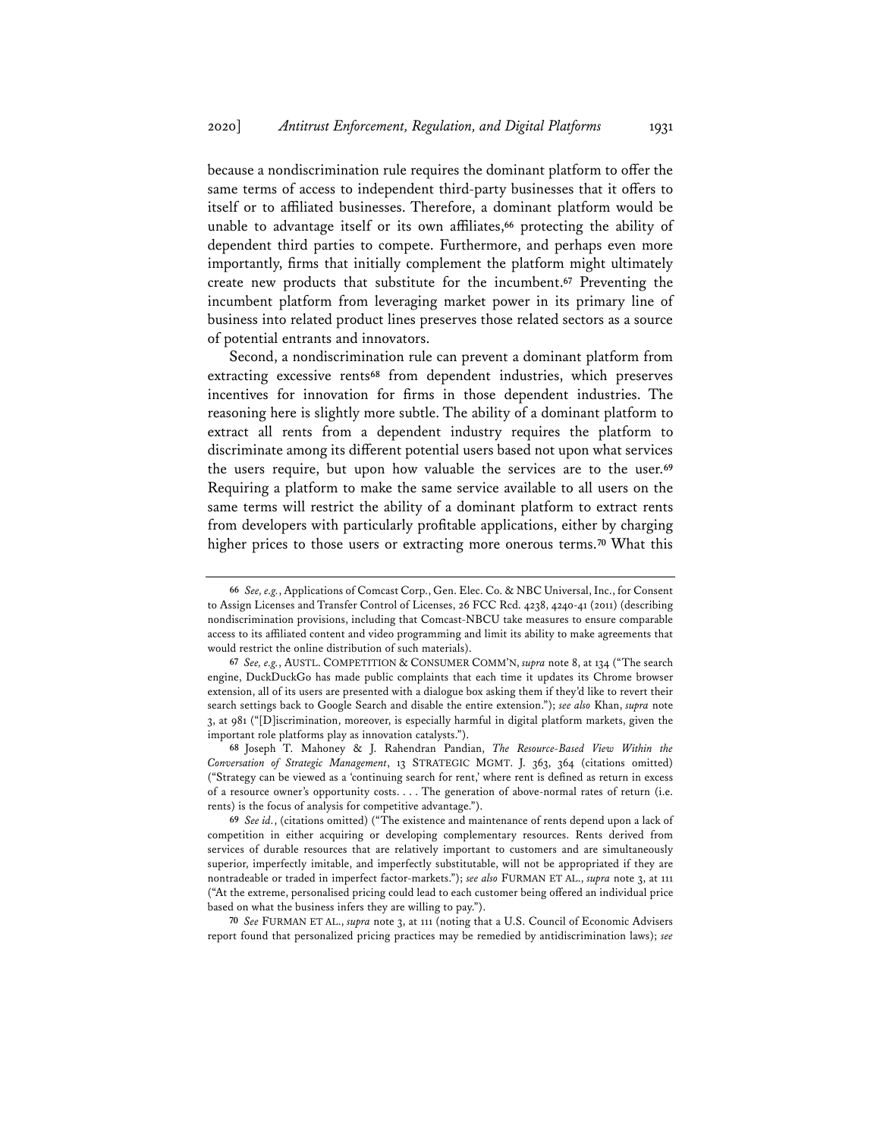because a nondiscrimination rule requires the dominant platform to offer the same terms of access to independent third-party businesses that it offers to itself or to affiliated businesses. Therefore, a dominant platform would be unable to advantage itself or its own affiliates,**<sup>66</sup>** protecting the ability of dependent third parties to compete. Furthermore, and perhaps even more importantly, firms that initially complement the platform might ultimately create new products that substitute for the incumbent.**<sup>67</sup>** Preventing the incumbent platform from leveraging market power in its primary line of business into related product lines preserves those related sectors as a source of potential entrants and innovators.

Second, a nondiscrimination rule can prevent a dominant platform from extracting excessive rents**<sup>68</sup>** from dependent industries, which preserves incentives for innovation for firms in those dependent industries. The reasoning here is slightly more subtle. The ability of a dominant platform to extract all rents from a dependent industry requires the platform to discriminate among its different potential users based not upon what services the users require, but upon how valuable the services are to the user.**<sup>69</sup>** Requiring a platform to make the same service available to all users on the same terms will restrict the ability of a dominant platform to extract rents from developers with particularly profitable applications, either by charging higher prices to those users or extracting more onerous terms.**<sup>70</sup>** What this

**70** *See* FURMAN ET AL., *supra* note 3, at 111 (noting that a U.S. Council of Economic Advisers report found that personalized pricing practices may be remedied by antidiscrimination laws); *see* 

**<sup>66</sup>** *See, e.g.*, Applications of Comcast Corp., Gen. Elec. Co. & NBC Universal, Inc., for Consent to Assign Licenses and Transfer Control of Licenses, 26 FCC Rcd. 4238, 4240-41 (2011) (describing nondiscrimination provisions, including that Comcast-NBCU take measures to ensure comparable access to its affiliated content and video programming and limit its ability to make agreements that would restrict the online distribution of such materials).

**<sup>67</sup>** *See, e.g.*, AUSTL. COMPETITION & CONSUMER COMM'N, *supra* note 8, at 134 ("The search engine, DuckDuckGo has made public complaints that each time it updates its Chrome browser extension, all of its users are presented with a dialogue box asking them if they'd like to revert their search settings back to Google Search and disable the entire extension."); *see also* Khan, *supra* note 3, at 981 ("[D]iscrimination, moreover, is especially harmful in digital platform markets, given the important role platforms play as innovation catalysts.").

**<sup>68</sup>** Joseph T. Mahoney & J. Rahendran Pandian, *The Resource-Based View Within the Conversation of Strategic Management*, 13 STRATEGIC MGMT. J. 363, 364 (citations omitted) ("Strategy can be viewed as a 'continuing search for rent,' where rent is defined as return in excess of a resource owner's opportunity costs. . . . The generation of above-normal rates of return (i.e. rents) is the focus of analysis for competitive advantage.").

**<sup>69</sup>** *See id.*, (citations omitted) ("The existence and maintenance of rents depend upon a lack of competition in either acquiring or developing complementary resources. Rents derived from services of durable resources that are relatively important to customers and are simultaneously superior, imperfectly imitable, and imperfectly substitutable, will not be appropriated if they are nontradeable or traded in imperfect factor-markets."); *see also* FURMAN ET AL., *supra* note 3, at 111 ("At the extreme, personalised pricing could lead to each customer being offered an individual price based on what the business infers they are willing to pay.").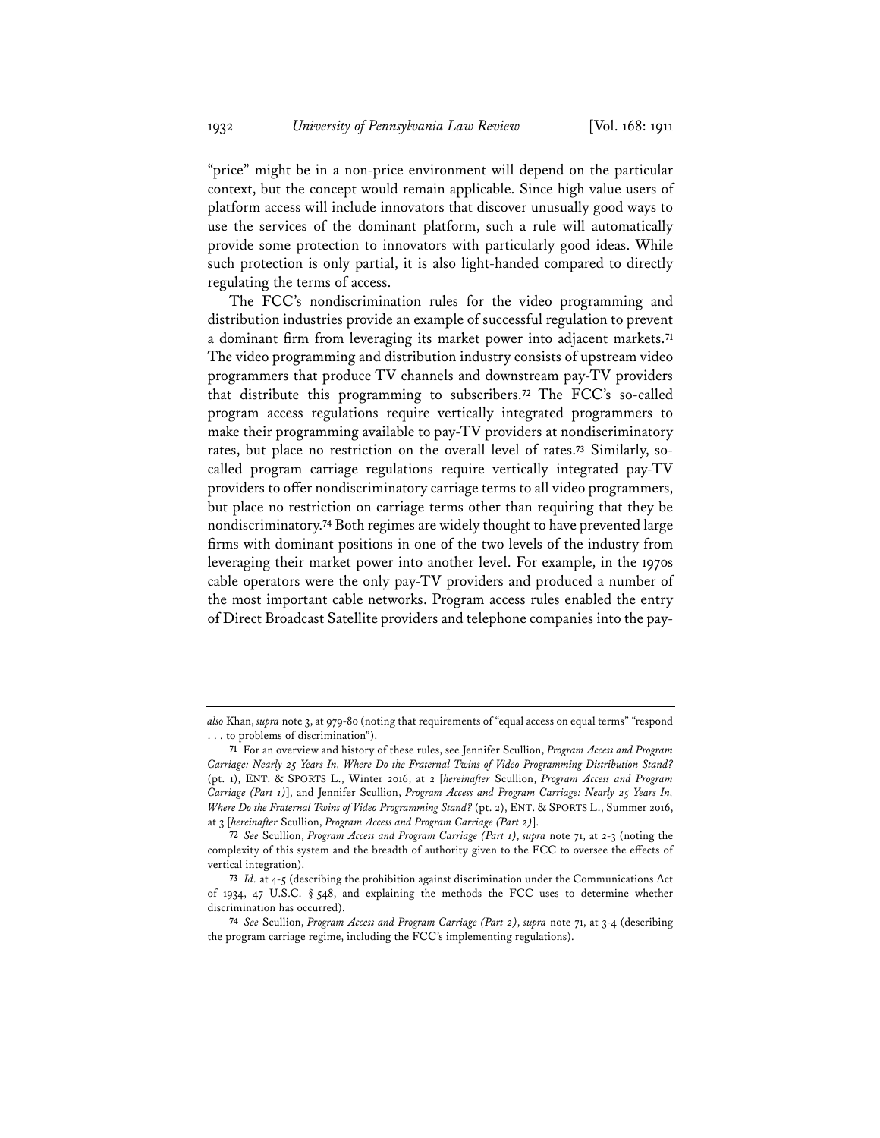"price" might be in a non-price environment will depend on the particular context, but the concept would remain applicable. Since high value users of platform access will include innovators that discover unusually good ways to use the services of the dominant platform, such a rule will automatically provide some protection to innovators with particularly good ideas. While such protection is only partial, it is also light-handed compared to directly regulating the terms of access.

The FCC's nondiscrimination rules for the video programming and distribution industries provide an example of successful regulation to prevent a dominant firm from leveraging its market power into adjacent markets.**<sup>71</sup>** The video programming and distribution industry consists of upstream video programmers that produce TV channels and downstream pay-TV providers that distribute this programming to subscribers.**<sup>72</sup>** The FCC's so-called program access regulations require vertically integrated programmers to make their programming available to pay-TV providers at nondiscriminatory rates, but place no restriction on the overall level of rates.**<sup>73</sup>** Similarly, socalled program carriage regulations require vertically integrated pay-TV providers to offer nondiscriminatory carriage terms to all video programmers, but place no restriction on carriage terms other than requiring that they be nondiscriminatory.**<sup>74</sup>** Both regimes are widely thought to have prevented large firms with dominant positions in one of the two levels of the industry from leveraging their market power into another level. For example, in the 1970s cable operators were the only pay-TV providers and produced a number of the most important cable networks. Program access rules enabled the entry of Direct Broadcast Satellite providers and telephone companies into the pay-

*also* Khan, *supra* note 3, at 979-80 (noting that requirements of "equal access on equal terms" "respond . . . to problems of discrimination").

**<sup>71</sup>** For an overview and history of these rules, see Jennifer Scullion, *Program Access and Program Carriage: Nearly 25 Years In, Where Do the Fraternal Twins of Video Programming Distribution Stand?* (pt. 1), ENT. & SPORTS L., Winter 2016, at 2 [*hereinafter* Scullion, *Program Access and Program Carriage (Part 1)*], and Jennifer Scullion, *Program Access and Program Carriage: Nearly 25 Years In, Where Do the Fraternal Twins of Video Programming Stand?* (pt. 2), ENT. & SPORTS L., Summer 2016, at 3 [*hereinafter* Scullion, *Program Access and Program Carriage (Part 2)*].

**<sup>72</sup>** *See* Scullion, *Program Access and Program Carriage (Part 1)*, *supra* note 71, at 2-3 (noting the complexity of this system and the breadth of authority given to the FCC to oversee the effects of vertical integration).

**<sup>73</sup>** *Id.* at 4-5 (describing the prohibition against discrimination under the Communications Act of 1934, 47 U.S.C. § 548, and explaining the methods the FCC uses to determine whether discrimination has occurred).

**<sup>74</sup>** *See* Scullion, *Program Access and Program Carriage (Part 2)*, *supra* note 71, at 3-4 (describing the program carriage regime, including the FCC's implementing regulations).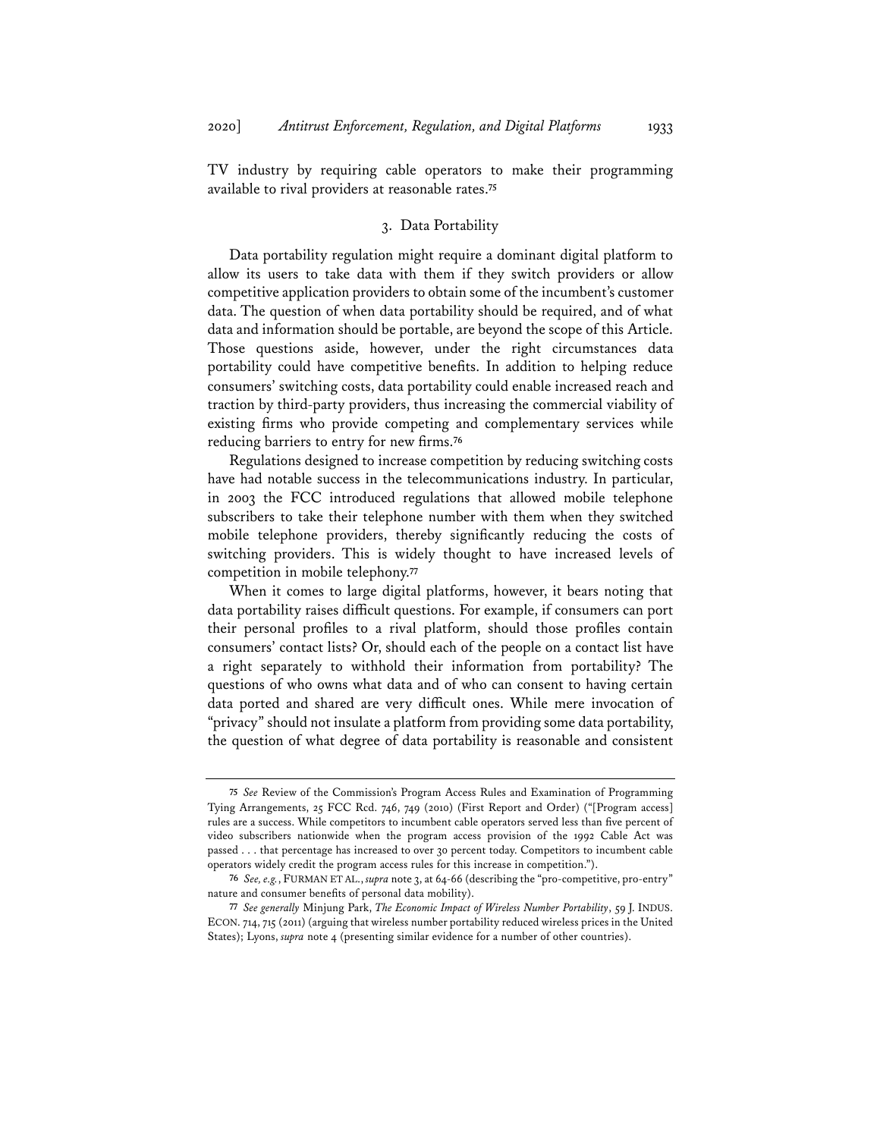TV industry by requiring cable operators to make their programming available to rival providers at reasonable rates.**<sup>75</sup>**

## 3. Data Portability

Data portability regulation might require a dominant digital platform to allow its users to take data with them if they switch providers or allow competitive application providers to obtain some of the incumbent's customer data. The question of when data portability should be required, and of what data and information should be portable, are beyond the scope of this Article. Those questions aside, however, under the right circumstances data portability could have competitive benefits. In addition to helping reduce consumers' switching costs, data portability could enable increased reach and traction by third-party providers, thus increasing the commercial viability of existing firms who provide competing and complementary services while reducing barriers to entry for new firms.**<sup>76</sup>**

Regulations designed to increase competition by reducing switching costs have had notable success in the telecommunications industry. In particular, in 2003 the FCC introduced regulations that allowed mobile telephone subscribers to take their telephone number with them when they switched mobile telephone providers, thereby significantly reducing the costs of switching providers. This is widely thought to have increased levels of competition in mobile telephony.**<sup>77</sup>**

When it comes to large digital platforms, however, it bears noting that data portability raises difficult questions. For example, if consumers can port their personal profiles to a rival platform, should those profiles contain consumers' contact lists? Or, should each of the people on a contact list have a right separately to withhold their information from portability? The questions of who owns what data and of who can consent to having certain data ported and shared are very difficult ones. While mere invocation of "privacy" should not insulate a platform from providing some data portability, the question of what degree of data portability is reasonable and consistent

**<sup>75</sup>** *See* Review of the Commission's Program Access Rules and Examination of Programming Tying Arrangements, 25 FCC Rcd. 746, 749 (2010) (First Report and Order) ("[Program access] rules are a success. While competitors to incumbent cable operators served less than five percent of video subscribers nationwide when the program access provision of the 1992 Cable Act was passed . . . that percentage has increased to over 30 percent today. Competitors to incumbent cable operators widely credit the program access rules for this increase in competition.").

**<sup>76</sup>** *See, e.g.*, FURMAN ET AL., *supra* note 3, at 64-66 (describing the "pro-competitive, pro-entry" nature and consumer benefits of personal data mobility).

**<sup>77</sup>** *See generally* Minjung Park, *The Economic Impact of Wireless Number Portability*, 59 J. INDUS. ECON. 714, 715 (2011) (arguing that wireless number portability reduced wireless prices in the United States); Lyons, *supra* note 4 (presenting similar evidence for a number of other countries).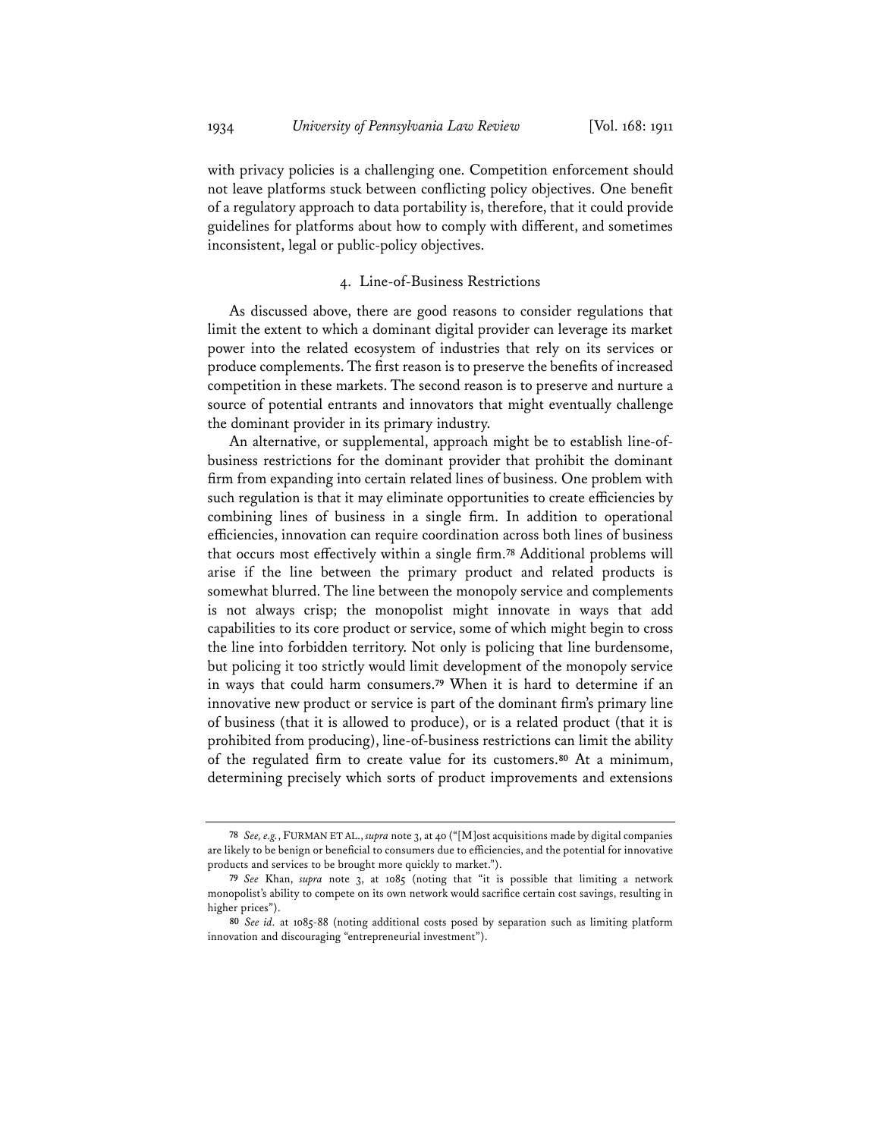with privacy policies is a challenging one. Competition enforcement should not leave platforms stuck between conflicting policy objectives. One benefit of a regulatory approach to data portability is, therefore, that it could provide guidelines for platforms about how to comply with different, and sometimes inconsistent, legal or public-policy objectives.

#### 4. Line-of-Business Restrictions

As discussed above, there are good reasons to consider regulations that limit the extent to which a dominant digital provider can leverage its market power into the related ecosystem of industries that rely on its services or produce complements. The first reason is to preserve the benefits of increased competition in these markets. The second reason is to preserve and nurture a source of potential entrants and innovators that might eventually challenge the dominant provider in its primary industry.

An alternative, or supplemental, approach might be to establish line-ofbusiness restrictions for the dominant provider that prohibit the dominant firm from expanding into certain related lines of business. One problem with such regulation is that it may eliminate opportunities to create efficiencies by combining lines of business in a single firm. In addition to operational efficiencies, innovation can require coordination across both lines of business that occurs most effectively within a single firm.**<sup>78</sup>** Additional problems will arise if the line between the primary product and related products is somewhat blurred. The line between the monopoly service and complements is not always crisp; the monopolist might innovate in ways that add capabilities to its core product or service, some of which might begin to cross the line into forbidden territory. Not only is policing that line burdensome, but policing it too strictly would limit development of the monopoly service in ways that could harm consumers.**<sup>79</sup>** When it is hard to determine if an innovative new product or service is part of the dominant firm's primary line of business (that it is allowed to produce), or is a related product (that it is prohibited from producing), line-of-business restrictions can limit the ability of the regulated firm to create value for its customers.**<sup>80</sup>** At a minimum, determining precisely which sorts of product improvements and extensions

**<sup>78</sup>** *See, e.g.*, FURMAN ET AL., *supra* note 3, at 40 ("[M]ost acquisitions made by digital companies are likely to be benign or beneficial to consumers due to efficiencies, and the potential for innovative products and services to be brought more quickly to market.").

**<sup>79</sup>** *See* Khan, *supra* note 3, at 1085 (noting that "it is possible that limiting a network monopolist's ability to compete on its own network would sacrifice certain cost savings, resulting in higher prices").

**<sup>80</sup>** *See id.* at 1085-88 (noting additional costs posed by separation such as limiting platform innovation and discouraging "entrepreneurial investment").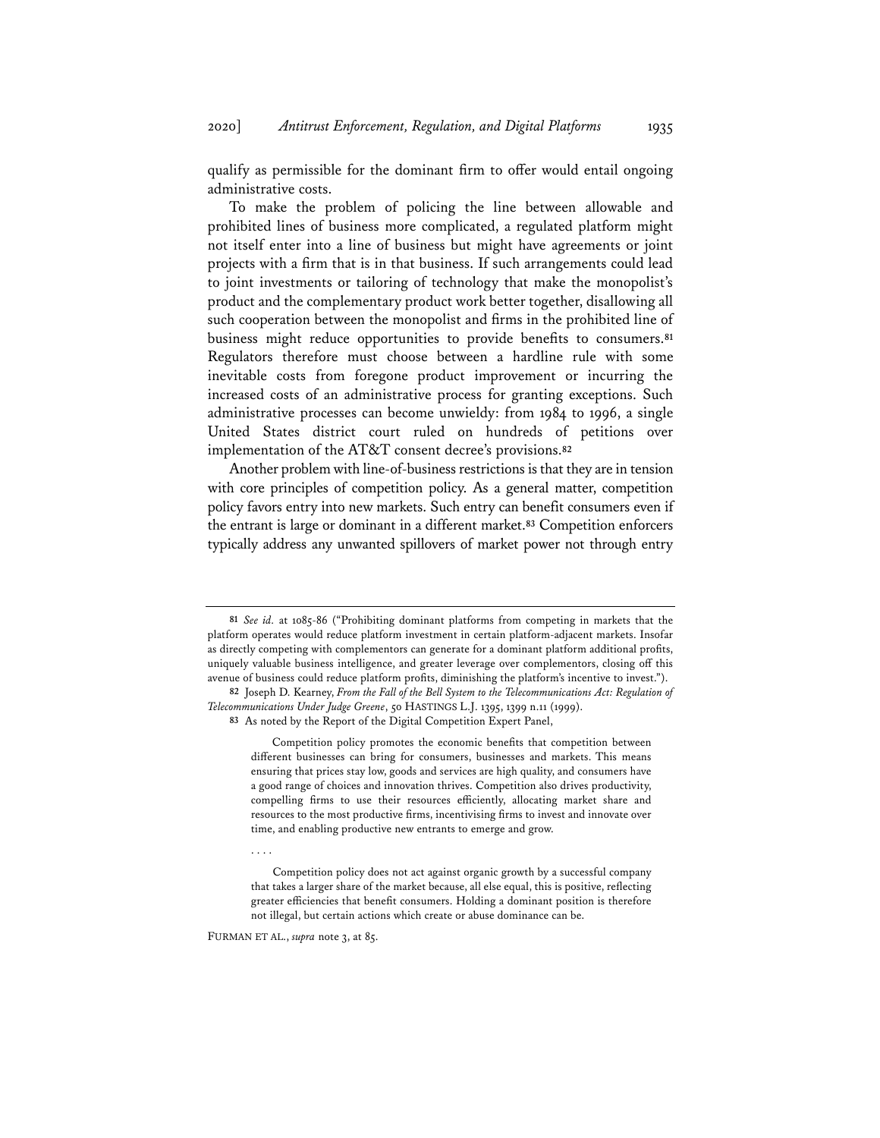qualify as permissible for the dominant firm to offer would entail ongoing administrative costs.

To make the problem of policing the line between allowable and prohibited lines of business more complicated, a regulated platform might not itself enter into a line of business but might have agreements or joint projects with a firm that is in that business. If such arrangements could lead to joint investments or tailoring of technology that make the monopolist's product and the complementary product work better together, disallowing all such cooperation between the monopolist and firms in the prohibited line of business might reduce opportunities to provide benefits to consumers.**<sup>81</sup>** Regulators therefore must choose between a hardline rule with some inevitable costs from foregone product improvement or incurring the increased costs of an administrative process for granting exceptions. Such administrative processes can become unwieldy: from 1984 to 1996, a single United States district court ruled on hundreds of petitions over implementation of the AT&T consent decree's provisions.**<sup>82</sup>**

Another problem with line-of-business restrictions is that they are in tension with core principles of competition policy. As a general matter, competition policy favors entry into new markets. Such entry can benefit consumers even if the entrant is large or dominant in a different market.**<sup>83</sup>** Competition enforcers typically address any unwanted spillovers of market power not through entry

Competition policy promotes the economic benefits that competition between different businesses can bring for consumers, businesses and markets. This means ensuring that prices stay low, goods and services are high quality, and consumers have a good range of choices and innovation thrives. Competition also drives productivity, compelling firms to use their resources efficiently, allocating market share and resources to the most productive firms, incentivising firms to invest and innovate over time, and enabling productive new entrants to emerge and grow.

FURMAN ET AL., *supra* note 3, at 85.

. . . .

**<sup>81</sup>** *See id.* at 1085-86 ("Prohibiting dominant platforms from competing in markets that the platform operates would reduce platform investment in certain platform-adjacent markets. Insofar as directly competing with complementors can generate for a dominant platform additional profits, uniquely valuable business intelligence, and greater leverage over complementors, closing off this avenue of business could reduce platform profits, diminishing the platform's incentive to invest.").

**<sup>82</sup>** Joseph D. Kearney, *From the Fall of the Bell System to the Telecommunications Act: Regulation of Telecommunications Under Judge Greene*, 50 HASTINGS L.J. 1395, 1399 n.11 (1999).

**<sup>83</sup>** As noted by the Report of the Digital Competition Expert Panel,

Competition policy does not act against organic growth by a successful company that takes a larger share of the market because, all else equal, this is positive, reflecting greater efficiencies that benefit consumers. Holding a dominant position is therefore not illegal, but certain actions which create or abuse dominance can be.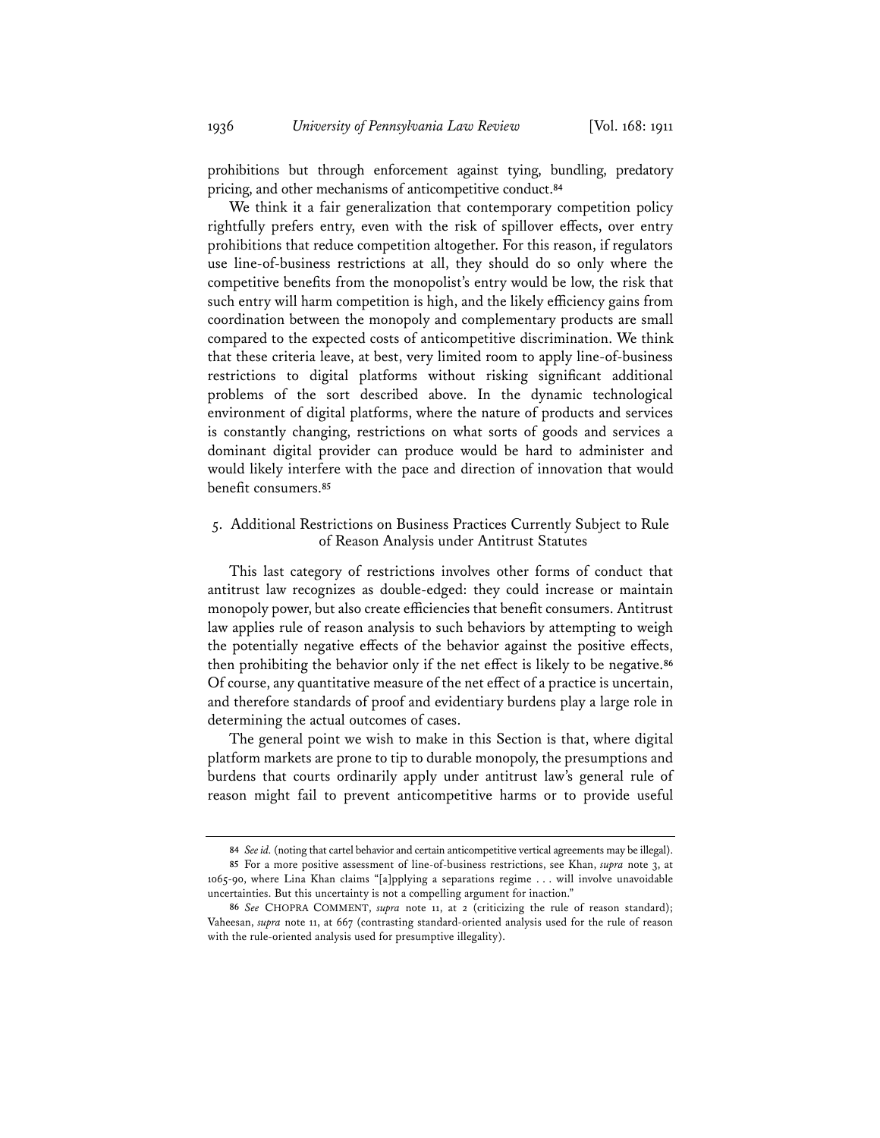prohibitions but through enforcement against tying, bundling, predatory pricing, and other mechanisms of anticompetitive conduct.**<sup>84</sup>**

We think it a fair generalization that contemporary competition policy rightfully prefers entry, even with the risk of spillover effects, over entry prohibitions that reduce competition altogether. For this reason, if regulators use line-of-business restrictions at all, they should do so only where the competitive benefits from the monopolist's entry would be low, the risk that such entry will harm competition is high, and the likely efficiency gains from coordination between the monopoly and complementary products are small compared to the expected costs of anticompetitive discrimination. We think that these criteria leave, at best, very limited room to apply line-of-business restrictions to digital platforms without risking significant additional problems of the sort described above. In the dynamic technological environment of digital platforms, where the nature of products and services is constantly changing, restrictions on what sorts of goods and services a dominant digital provider can produce would be hard to administer and would likely interfere with the pace and direction of innovation that would benefit consumers.**<sup>85</sup>**

## 5. Additional Restrictions on Business Practices Currently Subject to Rule of Reason Analysis under Antitrust Statutes

This last category of restrictions involves other forms of conduct that antitrust law recognizes as double-edged: they could increase or maintain monopoly power, but also create efficiencies that benefit consumers. Antitrust law applies rule of reason analysis to such behaviors by attempting to weigh the potentially negative effects of the behavior against the positive effects, then prohibiting the behavior only if the net effect is likely to be negative.**<sup>86</sup>** Of course, any quantitative measure of the net effect of a practice is uncertain, and therefore standards of proof and evidentiary burdens play a large role in determining the actual outcomes of cases.

The general point we wish to make in this Section is that, where digital platform markets are prone to tip to durable monopoly, the presumptions and burdens that courts ordinarily apply under antitrust law's general rule of reason might fail to prevent anticompetitive harms or to provide useful

**<sup>84</sup>** *See id.* (noting that cartel behavior and certain anticompetitive vertical agreements may be illegal).

**<sup>85</sup>** For a more positive assessment of line-of-business restrictions, see Khan, *supra* note 3, at 1065-90, where Lina Khan claims "[a]pplying a separations regime . . . will involve unavoidable uncertainties. But this uncertainty is not a compelling argument for inaction."

**<sup>86</sup>** *See* CHOPRA COMMENT, *supra* note 11, at 2 (criticizing the rule of reason standard); Vaheesan, *supra* note 11, at 667 (contrasting standard-oriented analysis used for the rule of reason with the rule-oriented analysis used for presumptive illegality).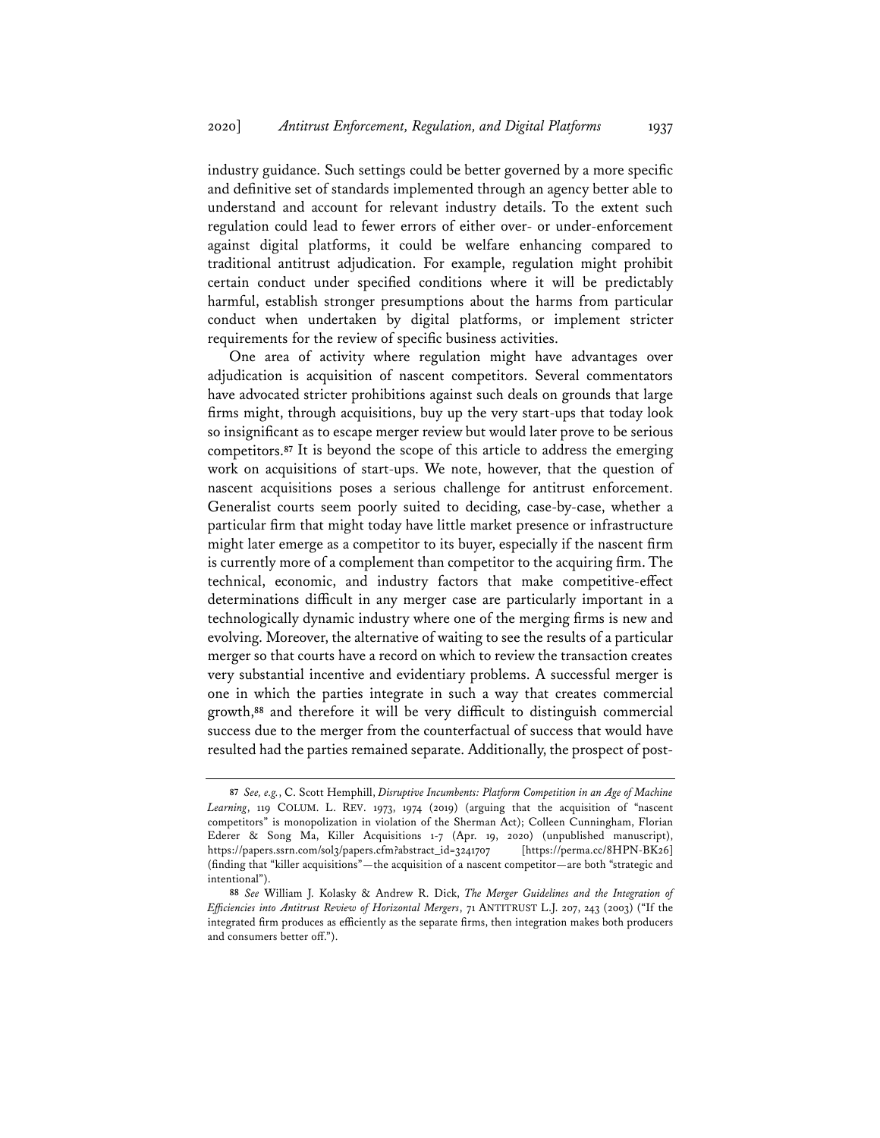industry guidance. Such settings could be better governed by a more specific and definitive set of standards implemented through an agency better able to understand and account for relevant industry details. To the extent such regulation could lead to fewer errors of either over- or under-enforcement against digital platforms, it could be welfare enhancing compared to traditional antitrust adjudication. For example, regulation might prohibit certain conduct under specified conditions where it will be predictably harmful, establish stronger presumptions about the harms from particular conduct when undertaken by digital platforms, or implement stricter requirements for the review of specific business activities.

One area of activity where regulation might have advantages over adjudication is acquisition of nascent competitors. Several commentators have advocated stricter prohibitions against such deals on grounds that large firms might, through acquisitions, buy up the very start-ups that today look so insignificant as to escape merger review but would later prove to be serious competitors.**<sup>87</sup>** It is beyond the scope of this article to address the emerging work on acquisitions of start-ups. We note, however, that the question of nascent acquisitions poses a serious challenge for antitrust enforcement. Generalist courts seem poorly suited to deciding, case-by-case, whether a particular firm that might today have little market presence or infrastructure might later emerge as a competitor to its buyer, especially if the nascent firm is currently more of a complement than competitor to the acquiring firm. The technical, economic, and industry factors that make competitive-effect determinations difficult in any merger case are particularly important in a technologically dynamic industry where one of the merging firms is new and evolving. Moreover, the alternative of waiting to see the results of a particular merger so that courts have a record on which to review the transaction creates very substantial incentive and evidentiary problems. A successful merger is one in which the parties integrate in such a way that creates commercial growth,**<sup>88</sup>** and therefore it will be very difficult to distinguish commercial success due to the merger from the counterfactual of success that would have resulted had the parties remained separate. Additionally, the prospect of post-

**<sup>87</sup>** *See, e.g.*, C. Scott Hemphill, *Disruptive Incumbents: Platform Competition in an Age of Machine Learning*, 119 COLUM. L. REV. 1973, 1974 (2019) (arguing that the acquisition of "nascent competitors" is monopolization in violation of the Sherman Act); Colleen Cunningham, Florian Ederer & Song Ma, Killer Acquisitions 1-7 (Apr. 19, 2020) (unpublished manuscript), https://papers.ssrn.com/sol3/papers.cfm?abstract\_id=3241707 [https://perma.cc/8HPN-BK26] (finding that "killer acquisitions"—the acquisition of a nascent competitor—are both "strategic and intentional").

**<sup>88</sup>** *See* William J. Kolasky & Andrew R. Dick, *The Merger Guidelines and the Integration of Efficiencies into Antitrust Review of Horizontal Mergers*, 71 ANTITRUST L.J. 207, 243 (2003) ("If the integrated firm produces as efficiently as the separate firms, then integration makes both producers and consumers better off.").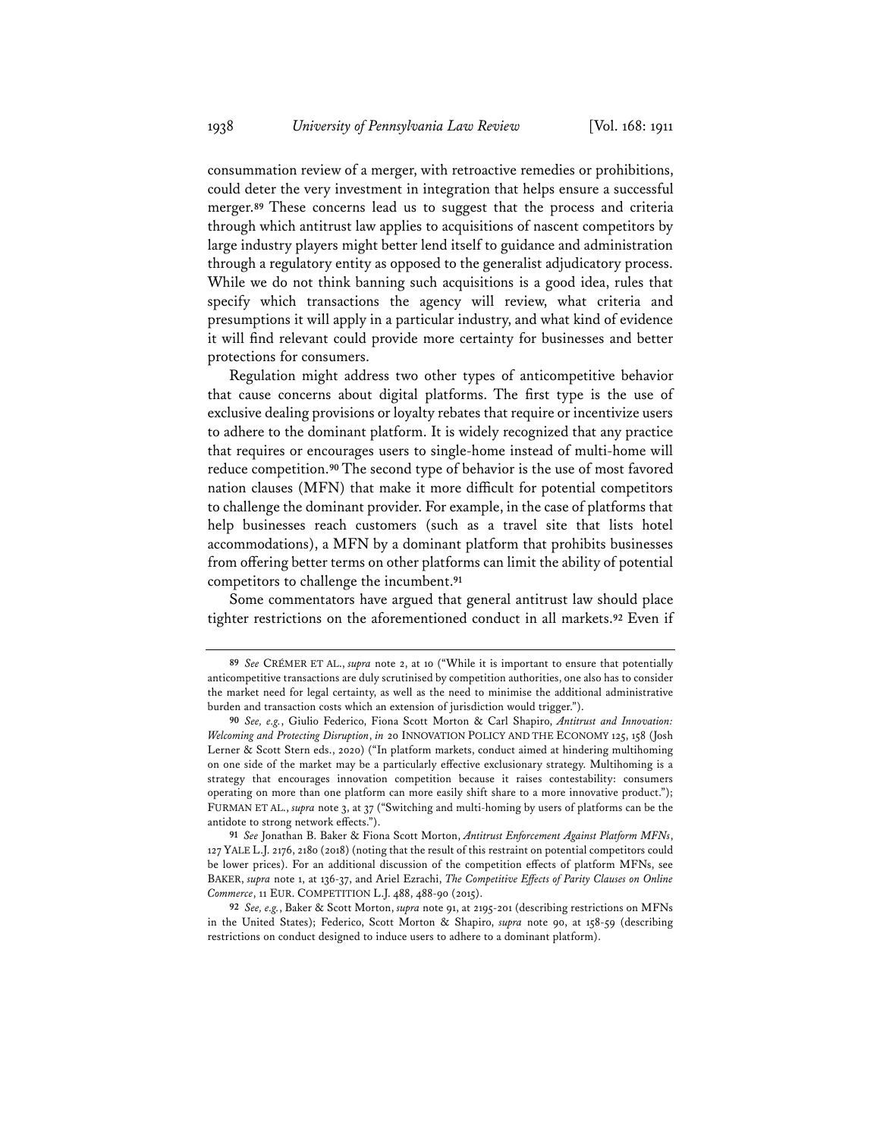consummation review of a merger, with retroactive remedies or prohibitions, could deter the very investment in integration that helps ensure a successful merger.**<sup>89</sup>** These concerns lead us to suggest that the process and criteria through which antitrust law applies to acquisitions of nascent competitors by large industry players might better lend itself to guidance and administration through a regulatory entity as opposed to the generalist adjudicatory process. While we do not think banning such acquisitions is a good idea, rules that specify which transactions the agency will review, what criteria and presumptions it will apply in a particular industry, and what kind of evidence it will find relevant could provide more certainty for businesses and better protections for consumers.

Regulation might address two other types of anticompetitive behavior that cause concerns about digital platforms. The first type is the use of exclusive dealing provisions or loyalty rebates that require or incentivize users to adhere to the dominant platform. It is widely recognized that any practice that requires or encourages users to single-home instead of multi-home will reduce competition.**<sup>90</sup>** The second type of behavior is the use of most favored nation clauses (MFN) that make it more difficult for potential competitors to challenge the dominant provider. For example, in the case of platforms that help businesses reach customers (such as a travel site that lists hotel accommodations), a MFN by a dominant platform that prohibits businesses from offering better terms on other platforms can limit the ability of potential competitors to challenge the incumbent.**<sup>91</sup>**

Some commentators have argued that general antitrust law should place tighter restrictions on the aforementioned conduct in all markets.**<sup>92</sup>** Even if

**<sup>89</sup>** *See* CRÉMER ET AL., *supra* note 2, at 10 ("While it is important to ensure that potentially anticompetitive transactions are duly scrutinised by competition authorities, one also has to consider the market need for legal certainty, as well as the need to minimise the additional administrative burden and transaction costs which an extension of jurisdiction would trigger.").

**<sup>90</sup>** *See, e.g.*, Giulio Federico, Fiona Scott Morton & Carl Shapiro, *Antitrust and Innovation: Welcoming and Protecting Disruption*, *in* 20 INNOVATION POLICY AND THE ECONOMY 125, 158 (Josh Lerner & Scott Stern eds., 2020) ("In platform markets, conduct aimed at hindering multihoming on one side of the market may be a particularly effective exclusionary strategy. Multihoming is a strategy that encourages innovation competition because it raises contestability: consumers operating on more than one platform can more easily shift share to a more innovative product."); FURMAN ET AL., *supra* note 3, at 37 ("Switching and multi-homing by users of platforms can be the antidote to strong network effects.").

**<sup>91</sup>** *See* Jonathan B. Baker & Fiona Scott Morton, *Antitrust Enforcement Against Platform MFNs*, 127 YALE L.J. 2176, 2180 (2018) (noting that the result of this restraint on potential competitors could be lower prices). For an additional discussion of the competition effects of platform MFNs, see BAKER, *supra* note 1, at 136-37, and Ariel Ezrachi, *The Competitive Effects of Parity Clauses on Online Commerce*, 11 EUR. COMPETITION L.J. 488, 488-90 (2015).

**<sup>92</sup>** *See, e.g.*, Baker & Scott Morton, *supra* note 91, at 2195-201 (describing restrictions on MFNs in the United States); Federico, Scott Morton & Shapiro, *supra* note 90, at 158-59 (describing restrictions on conduct designed to induce users to adhere to a dominant platform).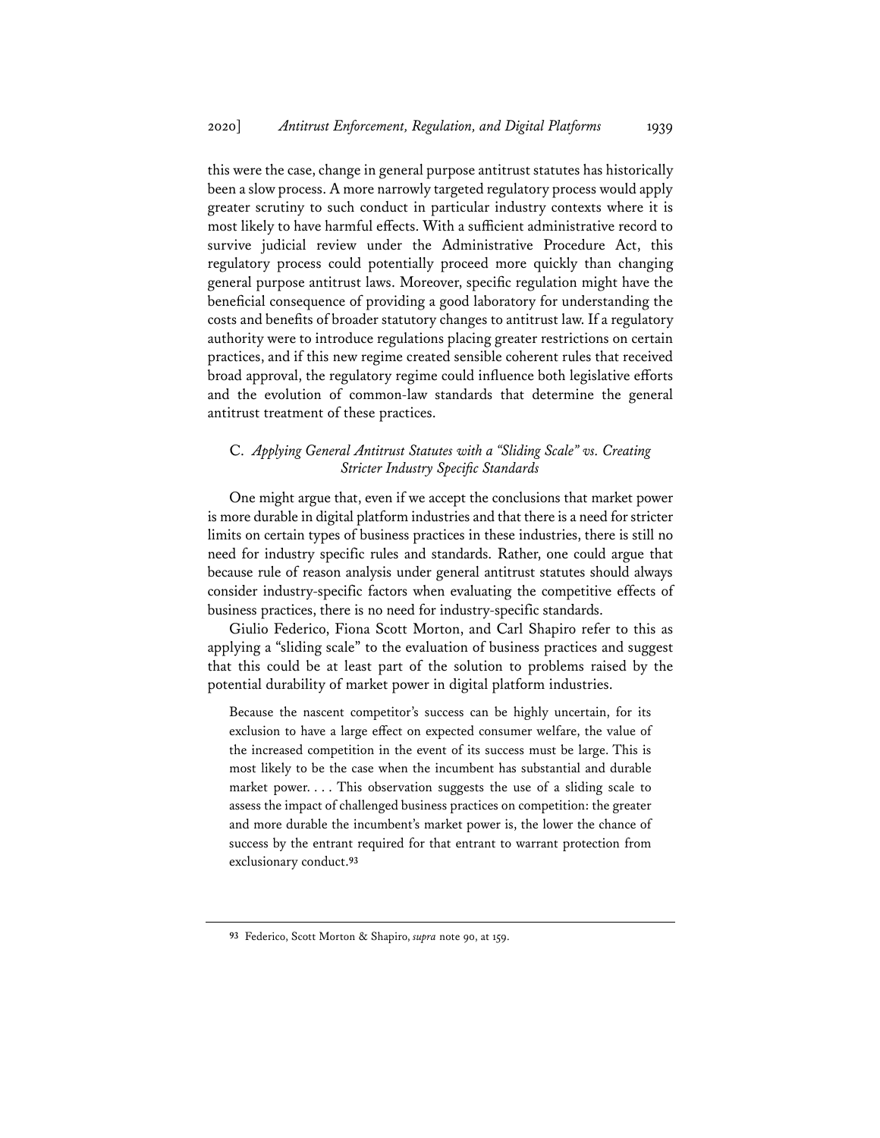this were the case, change in general purpose antitrust statutes has historically been a slow process. A more narrowly targeted regulatory process would apply greater scrutiny to such conduct in particular industry contexts where it is most likely to have harmful effects. With a sufficient administrative record to survive judicial review under the Administrative Procedure Act, this regulatory process could potentially proceed more quickly than changing general purpose antitrust laws. Moreover, specific regulation might have the beneficial consequence of providing a good laboratory for understanding the costs and benefits of broader statutory changes to antitrust law. If a regulatory authority were to introduce regulations placing greater restrictions on certain practices, and if this new regime created sensible coherent rules that received broad approval, the regulatory regime could influence both legislative efforts and the evolution of common-law standards that determine the general antitrust treatment of these practices.

# C. *Applying General Antitrust Statutes with a "Sliding Scale" vs. Creating Stricter Industry Specific Standards*

One might argue that, even if we accept the conclusions that market power is more durable in digital platform industries and that there is a need for stricter limits on certain types of business practices in these industries, there is still no need for industry specific rules and standards. Rather, one could argue that because rule of reason analysis under general antitrust statutes should always consider industry-specific factors when evaluating the competitive effects of business practices, there is no need for industry-specific standards.

Giulio Federico, Fiona Scott Morton, and Carl Shapiro refer to this as applying a "sliding scale" to the evaluation of business practices and suggest that this could be at least part of the solution to problems raised by the potential durability of market power in digital platform industries.

Because the nascent competitor's success can be highly uncertain, for its exclusion to have a large effect on expected consumer welfare, the value of the increased competition in the event of its success must be large. This is most likely to be the case when the incumbent has substantial and durable market power. . . . This observation suggests the use of a sliding scale to assess the impact of challenged business practices on competition: the greater and more durable the incumbent's market power is, the lower the chance of success by the entrant required for that entrant to warrant protection from exclusionary conduct.**<sup>93</sup>**

**<sup>93</sup>** Federico, Scott Morton & Shapiro, *supra* note 90, at 159.